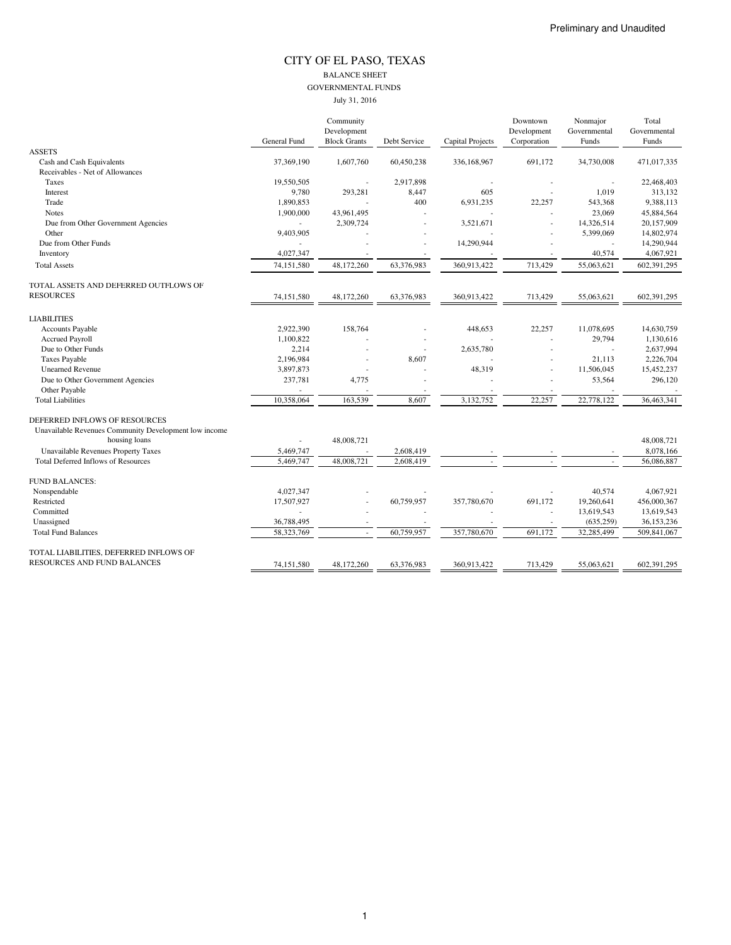#### CITY OF EL PASO, TEXAS BALANCE SHEET GOVERNMENTAL FUNDS July 31, 2016

|                                                       |                     | Community                          |              |                  | Downtown                   | Nonmajor              | Total                 |
|-------------------------------------------------------|---------------------|------------------------------------|--------------|------------------|----------------------------|-----------------------|-----------------------|
|                                                       | <b>General Fund</b> | Development<br><b>Block Grants</b> | Debt Service | Capital Projects | Development<br>Corporation | Governmental<br>Funds | Governmental<br>Funds |
| <b>ASSETS</b>                                         |                     |                                    |              |                  |                            |                       |                       |
| Cash and Cash Equivalents                             | 37,369,190          | 1,607,760                          | 60,450,238   | 336,168,967      | 691,172                    | 34,730,008            | 471,017,335           |
| Receivables - Net of Allowances                       |                     |                                    |              |                  |                            |                       |                       |
| Taxes                                                 | 19,550,505          |                                    | 2,917,898    |                  |                            |                       | 22,468,403            |
| Interest                                              | 9,780               | 293,281                            | 8,447        | 605              |                            | 1,019                 | 313,132               |
| Trade                                                 | 1.890.853           |                                    | 400          | 6,931,235        | 22,257                     | 543,368               | 9.388.113             |
| <b>Notes</b>                                          | 1,900,000           | 43,961,495                         |              |                  |                            | 23,069                | 45,884,564            |
| Due from Other Government Agencies                    | ÷                   | 2,309,724                          | ä,           | 3,521,671        |                            | 14,326,514            | 20,157,909            |
| Other                                                 | 9,403,905           |                                    |              |                  |                            | 5,399,069             | 14,802,974            |
| Due from Other Funds                                  |                     |                                    | ä,           | 14,290,944       |                            |                       | 14,290,944            |
| Inventory                                             | 4,027,347           |                                    |              |                  |                            | 40,574                | 4,067,921             |
| <b>Total Assets</b>                                   | 74,151,580          | 48,172,260                         | 63,376,983   | 360,913,422      | 713,429                    | 55,063,621            | 602,391,295           |
| TOTAL ASSETS AND DEFERRED OUTFLOWS OF                 |                     |                                    |              |                  |                            |                       |                       |
| <b>RESOURCES</b>                                      | 74,151,580          | 48,172,260                         | 63,376,983   | 360,913,422      | 713,429                    | 55,063,621            | 602,391,295           |
| <b>LIABILITIES</b>                                    |                     |                                    |              |                  |                            |                       |                       |
| Accounts Payable                                      | 2,922,390           | 158,764                            |              | 448,653          | 22,257                     | 11,078,695            | 14,630,759            |
| <b>Accrued Payroll</b>                                | 1,100,822           |                                    |              |                  | ä,                         | 29,794                | 1,130,616             |
| Due to Other Funds                                    | 2,214               |                                    |              | 2,635,780        |                            |                       | 2,637,994             |
| <b>Taxes Payable</b>                                  | 2,196,984           |                                    | 8,607        |                  |                            | 21.113                | 2,226,704             |
| <b>Unearned Revenue</b>                               | 3,897,873           |                                    |              | 48,319           |                            | 11,506,045            | 15,452,237            |
| Due to Other Government Agencies                      | 237,781             | 4,775                              |              |                  |                            | 53,564                | 296,120               |
| Other Payable                                         |                     |                                    |              |                  |                            |                       |                       |
| <b>Total Liabilities</b>                              | 10,358,064          | 163,539                            | 8,607        | 3,132,752        | 22,257                     | 22,778,122            | 36,463,341            |
| DEFERRED INFLOWS OF RESOURCES                         |                     |                                    |              |                  |                            |                       |                       |
| Unavailable Revenues Community Development low income |                     |                                    |              |                  |                            |                       |                       |
| housing loans                                         | ٠                   | 48,008,721                         |              |                  |                            |                       | 48,008,721            |
| Unavailable Revenues Property Taxes                   | 5,469,747           |                                    | 2,608,419    |                  |                            |                       | 8,078,166             |
| <b>Total Deferred Inflows of Resources</b>            | 5.469.747           | 48,008,721                         | 2,608,419    |                  |                            |                       | 56,086,887            |
| <b>FUND BALANCES:</b>                                 |                     |                                    |              |                  |                            |                       |                       |
| Nonspendable                                          | 4,027,347           |                                    |              |                  |                            | 40,574                | 4,067,921             |
| Restricted                                            | 17,507,927          |                                    | 60,759,957   | 357,780,670      | 691,172                    | 19,260,641            | 456,000,367           |
| Committed                                             |                     |                                    |              |                  |                            | 13,619,543            | 13,619,543            |
| Unassigned                                            | 36,788,495          |                                    |              |                  |                            | (635, 259)            | 36,153,236            |
| <b>Total Fund Balances</b>                            | 58,323,769          | ÷.                                 | 60,759,957   | 357,780,670      | 691,172                    | 32,285,499            | 509,841,067           |
| TOTAL LIABILITIES, DEFERRED INFLOWS OF                |                     |                                    |              |                  |                            |                       |                       |
| <b>RESOURCES AND FUND BALANCES</b>                    | 74,151,580          | 48,172,260                         | 63,376,983   | 360,913,422      | 713,429                    | 55,063,621            | 602,391,295           |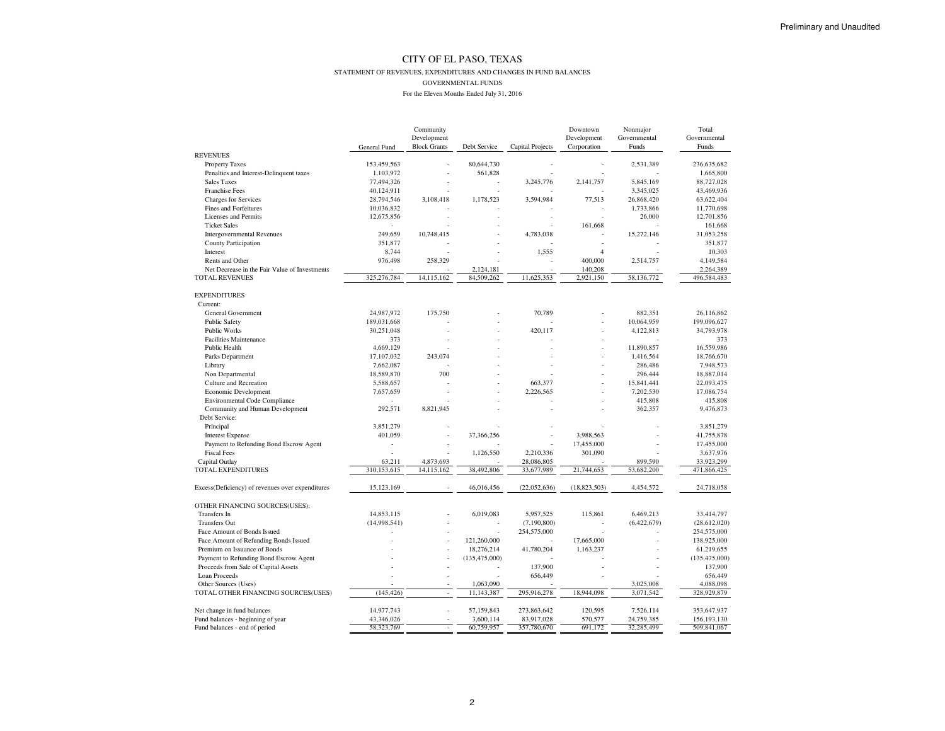#### STATEMENT OF REVENUES, EXPENDITURES AND CHANGES IN FUND BALANCES

#### GOVERNMENTAL FUNDS

|                                                  | General Fund | Community<br>Development<br><b>Block Grants</b> | Debt Service    | Capital Projects | Downtown<br>Development<br>Corporation | Nonmajor<br>Governmental<br>Funds | Total<br>Governmental<br>Funds |
|--------------------------------------------------|--------------|-------------------------------------------------|-----------------|------------------|----------------------------------------|-----------------------------------|--------------------------------|
| <b>REVENUES</b>                                  |              |                                                 |                 |                  |                                        |                                   |                                |
| Property Taxes                                   | 153,459,563  |                                                 | 80,644,730      |                  |                                        | 2,531,389                         | 236,635,682                    |
| Penalties and Interest-Delinquent taxes          | 1,103,972    |                                                 | 561,828         |                  |                                        |                                   | 1,665,800                      |
| Sales Taxes                                      | 77,494,326   |                                                 | ä,              | 3,245,776        | 2,141,757                              | 5,845,169                         | 88,727,028                     |
| <b>Franchise Fees</b>                            | 40,124,911   |                                                 |                 |                  |                                        | 3,345,025                         | 43,469,936                     |
| <b>Charges for Services</b>                      | 28,794,546   | 3,108,418                                       | 1,178,523       | 3,594,984        | 77,513                                 | 26,868,420                        | 63,622,404                     |
| Fines and Forfeitures                            | 10,036,832   |                                                 |                 |                  |                                        | 1,733,866                         | 11,770,698                     |
| Licenses and Permits                             | 12,675,856   |                                                 |                 |                  | ÷.                                     | 26,000                            | 12,701,856                     |
| <b>Ticket Sales</b>                              |              |                                                 |                 |                  | 161,668                                |                                   | 161,668                        |
| <b>Intergovernmental Revenues</b>                | 249,659      | 10,748,415                                      |                 | 4,783,038        |                                        | 15,272,146                        | 31,053,258                     |
| County Participation                             | 351,877      |                                                 |                 |                  |                                        |                                   | 351,877                        |
| Interest                                         | 8,744        |                                                 |                 | 1,555            | $\overline{4}$                         |                                   | 10,303                         |
| Rents and Other                                  | 976,498      | 258,329                                         |                 |                  | 400,000                                | 2,514,757                         | 4,149,584                      |
| Net Decrease in the Fair Value of Investments    |              |                                                 | 2,124,181       |                  | 140,208                                |                                   | 2,264,389                      |
| <b>TOTAL REVENUES</b>                            | 325,276,784  | 14,115,162                                      | 84,509,262      | 11,625,353       | 2,921,150                              | 58,136,772                        | 496,584,483                    |
| <b>EXPENDITURES</b>                              |              |                                                 |                 |                  |                                        |                                   |                                |
| Current:                                         |              |                                                 |                 |                  |                                        |                                   |                                |
| General Government                               | 24,987,972   | 175,750                                         |                 | 70.789           |                                        | 882.351                           | 26.116.862                     |
| <b>Public Safety</b>                             | 189,031,668  |                                                 |                 |                  |                                        | 10,064,959                        | 199,096,627                    |
| <b>Public Works</b>                              | 30,251,048   |                                                 |                 | 420,117          |                                        | 4,122,813                         | 34,793,978                     |
| <b>Facilities Maintenance</b>                    | 373          |                                                 |                 |                  |                                        |                                   | 373                            |
| Public Health                                    | 4,669,129    |                                                 |                 |                  |                                        | 11,890,857                        | 16,559,986                     |
| Parks Department                                 | 17,107,032   | 243,074                                         |                 |                  |                                        | 1,416,564                         | 18,766,670                     |
| Library                                          | 7,662,087    |                                                 |                 |                  |                                        | 286,486                           | 7,948,573                      |
| Non Departmental                                 | 18,589,870   | 700                                             |                 |                  |                                        | 296,444                           | 18,887,014                     |
| Culture and Recreation                           | 5,588,657    |                                                 |                 | 663,377          |                                        | 15,841,441                        | 22,093,475                     |
| Economic Development                             | 7,657,659    |                                                 |                 | 2,226,565        |                                        | 7,202,530                         | 17,086,754                     |
| Environmental Code Compliance                    |              |                                                 |                 |                  |                                        | 415,808                           | 415,808                        |
| Community and Human Development                  | 292,571      | 8,821,945                                       |                 |                  |                                        | 362,357                           | 9,476,873                      |
| Debt Service:                                    |              |                                                 |                 |                  |                                        |                                   |                                |
| Principal                                        | 3,851,279    |                                                 |                 |                  |                                        |                                   | 3,851,279                      |
| <b>Interest Expense</b>                          | 401,059      |                                                 | 37,366,256      |                  | 3,988,563                              |                                   | 41,755,878                     |
| Payment to Refunding Bond Escrow Agent           |              |                                                 |                 |                  | 17,455,000                             |                                   | 17,455,000                     |
| <b>Fiscal Fees</b>                               | ÷,           |                                                 | 1,126,550       | 2,210,336        | 301,090                                |                                   | 3,637,976                      |
| Capital Outlay                                   | 63,211       | 4,873,693                                       |                 | 28,086,805       |                                        | 899,590                           | 33,923,299                     |
| TOTAL EXPENDITURES                               | 310,153,615  | 14,115,162                                      | 38,492,806      | 33,677,989       | 21,744,653                             | 53,682,200                        | 471,866,425                    |
| Excess(Deficiency) of revenues over expenditures | 15,123,169   |                                                 | 46,016,456      | (22,052,636)     | (18, 823, 503)                         | 4,454,572                         | 24,718,058                     |
| OTHER FINANCING SOURCES(USES):                   |              |                                                 |                 |                  |                                        |                                   |                                |
| Transfers In                                     | 14,853,115   |                                                 | 6,019,083       | 5,957,525        | 115,861                                | 6,469,213                         | 33,414,797                     |
| <b>Transfers Out</b>                             | (14,998,541) |                                                 |                 | (7,190,800)      |                                        | (6,422,679)                       | (28,612,020)                   |
| Face Amount of Bonds Issued                      |              |                                                 |                 | 254,575,000      |                                        |                                   | 254,575,000                    |
| Face Amount of Refunding Bonds Issued            |              |                                                 | 121,260,000     |                  | 17,665,000                             |                                   | 138,925,000                    |
| Premium on Issuance of Bonds                     |              |                                                 | 18,276,214      | 41,780,204       | 1,163,237                              |                                   | 61,219,655                     |
| Payment to Refunding Bond Escrow Agent           |              |                                                 | (135, 475, 000) |                  |                                        |                                   | (135, 475, 000)                |
| Proceeds from Sale of Capital Assets             |              |                                                 |                 | 137,900          |                                        |                                   | 137,900                        |
| Loan Proceeds                                    |              |                                                 |                 | 656,449          |                                        |                                   | 656,449                        |
| Other Sources (Uses)                             |              |                                                 | 1,063,090       |                  |                                        | 3,025,008                         | 4,088,098                      |
| TOTAL OTHER FINANCING SOURCES(USES)              | (145, 426)   | ÷,                                              | 11,143,387      | 295,916,278      | 18,944,098                             | 3,071,542                         | 328,929,879                    |
| Net change in fund balances                      | 14,977,743   |                                                 | 57,159,843      | 273,863,642      | 120,595                                | 7,526,114                         | 353,647,937                    |
| Fund balances - beginning of year                | 43,346,026   |                                                 | 3,600,114       | 83,917,028       | 570,577                                | 24,759,385                        | 156, 193, 130                  |
| Fund balances - end of period                    | 58,323,769   |                                                 | 60,759,957      | 357,780,670      | 691,172                                | 32,285,499                        | 509,841,067                    |
|                                                  |              |                                                 |                 |                  |                                        |                                   |                                |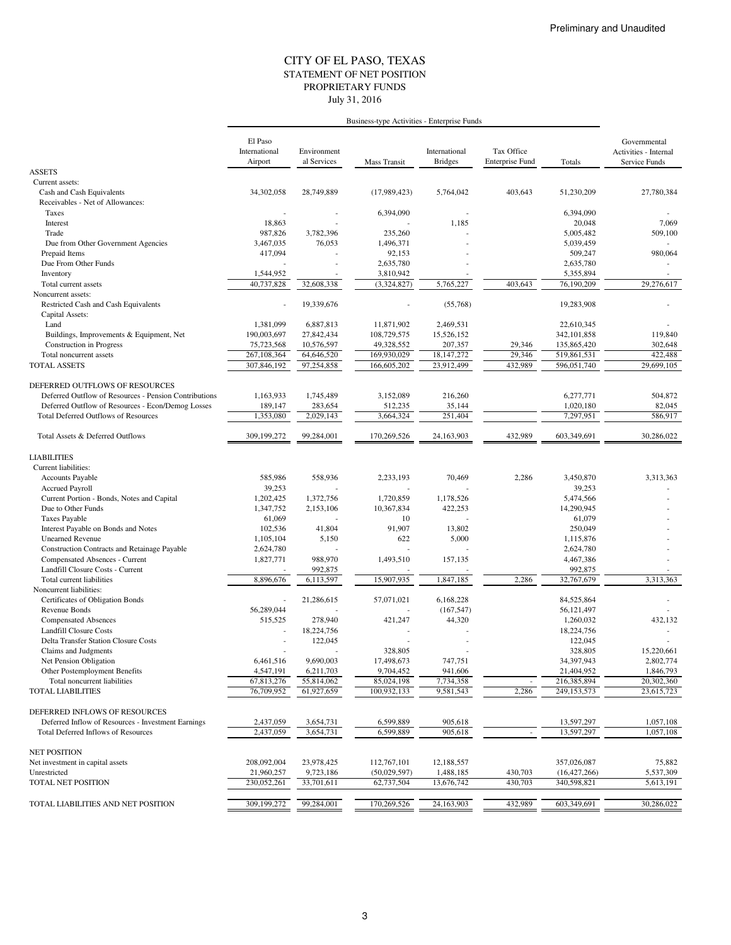### STATEMENT OF NET POSITION CITY OF EL PASO, TEXAS July 31, 2016 PROPRIETARY FUNDS

|                                                       | Business-type Activities - Enterprise Funds |                            |                     |                                 |                                      |                |                       |
|-------------------------------------------------------|---------------------------------------------|----------------------------|---------------------|---------------------------------|--------------------------------------|----------------|-----------------------|
|                                                       |                                             |                            |                     |                                 |                                      |                |                       |
|                                                       | El Paso                                     |                            |                     |                                 |                                      |                | Governmental          |
|                                                       | International                               | Environment<br>al Services |                     | International<br><b>Bridges</b> | Tax Office<br><b>Enterprise Fund</b> |                | Activities - Internal |
| <b>ASSETS</b>                                         | Airport                                     |                            | <b>Mass Transit</b> |                                 |                                      | Totals         | Service Funds         |
| Current assets:                                       |                                             |                            |                     |                                 |                                      |                |                       |
| Cash and Cash Equivalents                             | 34,302,058                                  | 28,749,889                 | (17,989,423)        | 5,764,042                       | 403,643                              | 51,230,209     | 27.780.384            |
| Receivables - Net of Allowances:                      |                                             |                            |                     |                                 |                                      |                |                       |
| Taxes                                                 |                                             |                            | 6,394,090           |                                 |                                      | 6,394,090      |                       |
| Interest                                              | 18,863                                      |                            |                     | 1,185                           |                                      | 20,048         | 7,069                 |
| Trade                                                 | 987,826                                     | 3,782,396                  | 235,260             |                                 |                                      | 5,005,482      | 509,100               |
| Due from Other Government Agencies                    | 3,467,035                                   | 76,053                     | 1,496,371           |                                 |                                      | 5,039,459      |                       |
| Prepaid Items                                         | 417,094                                     |                            | 92,153              |                                 |                                      | 509,247        | 980,064               |
| Due From Other Funds                                  |                                             |                            | 2,635,780           |                                 |                                      | 2,635,780      |                       |
| Inventory                                             | 1,544,952                                   |                            | 3,810,942           |                                 |                                      | 5,355,894      |                       |
| Total current assets                                  | 40,737,828                                  | 32,608,338                 | (3,324,827)         | 5.765.227                       | 403,643                              | 76,190,209     | 29,276,617            |
| Noncurrent assets:                                    |                                             |                            |                     |                                 |                                      |                |                       |
| Restricted Cash and Cash Equivalents                  |                                             | 19,339,676                 |                     | (55,768)                        |                                      | 19,283,908     |                       |
| Capital Assets:                                       |                                             |                            |                     |                                 |                                      |                |                       |
| Land                                                  | 1,381,099                                   | 6,887,813                  | 11,871,902          | 2,469,531                       |                                      | 22,610,345     |                       |
| Buildings, Improvements & Equipment, Net              | 190,003,697                                 | 27,842,434                 | 108,729,575         | 15,526,152                      |                                      | 342, 101, 858  | 119,840               |
| Construction in Progress                              | 75,723,568                                  | 10,576,597                 | 49,328,552          | 207,357                         | 29,346                               | 135,865,420    | 302,648               |
| Total noncurrent assets                               | 267,108,364                                 | 64,646,520                 | 169,930,029         | 18, 147, 272                    | 29,346                               | 519,861,531    | 422,488               |
| <b>TOTAL ASSETS</b>                                   | 307,846,192                                 | 97,254,858                 | 166,605,202         | 23,912,499                      | 432,989                              | 596,051,740    | 29,699,105            |
| DEFERRED OUTFLOWS OF RESOURCES                        |                                             |                            |                     |                                 |                                      |                |                       |
| Deferred Outflow of Resources - Pension Contributions | 1,163,933                                   | 1,745,489                  | 3.152.089           | 216,260                         |                                      | 6,277,771      | 504,872               |
| Deferred Outflow of Resources - Econ/Demog Losses     | 189,147                                     | 283,654                    | 512,235             | 35,144                          |                                      | 1,020,180      | 82,045                |
| <b>Total Deferred Outflows of Resources</b>           | 1,353,080                                   | 2,029,143                  | 3,664,324           | 251,404                         |                                      | 7,297,951      | 586,917               |
| Total Assets & Deferred Outflows                      | 309,199,272                                 | 99,284,001                 | 170,269,526         | 24, 163, 903                    | 432,989                              | 603,349,691    | 30,286,022            |
| <b>LIABILITIES</b>                                    |                                             |                            |                     |                                 |                                      |                |                       |
| Current liabilities:                                  |                                             |                            |                     |                                 |                                      |                |                       |
| Accounts Payable                                      | 585,986                                     | 558,936                    | 2,233,193           | 70,469                          | 2,286                                | 3,450,870      | 3,313,363             |
| <b>Accrued Payroll</b>                                | 39,253                                      |                            |                     |                                 |                                      | 39,253         |                       |
| Current Portion - Bonds, Notes and Capital            | 1,202,425                                   | 1,372,756                  | 1,720,859           | 1,178,526                       |                                      | 5,474,566      |                       |
| Due to Other Funds                                    | 1,347,752                                   | 2,153,106                  | 10,367,834          | 422,253                         |                                      | 14,290,945     |                       |
| <b>Taxes Payable</b>                                  | 61,069                                      |                            | 10                  |                                 |                                      | 61,079         |                       |
| Interest Payable on Bonds and Notes                   | 102,536                                     | 41,804                     | 91,907              | 13,802                          |                                      | 250,049        |                       |
| <b>Unearned Revenue</b>                               | 1,105,104                                   | 5,150                      | 622                 | 5,000                           |                                      | 1,115,876      |                       |
| Construction Contracts and Retainage Payable          | 2,624,780                                   |                            |                     |                                 |                                      | 2,624,780      |                       |
| Compensated Absences - Current                        | 1,827,771                                   | 988,970                    | 1,493,510           | 157,135                         |                                      | 4,467,386      |                       |
| Landfill Closure Costs - Current                      |                                             | 992,875                    |                     |                                 |                                      | 992,875        |                       |
| Total current liabilities                             | 8,896,676                                   | 6,113,597                  | 15,907,935          | 1,847,185                       | 2,286                                | 32,767,679     | 3,313,363             |
| Noncurrent liabilities:                               |                                             |                            |                     |                                 |                                      |                |                       |
| Certificates of Obligation Bonds                      | ä,                                          | 21,286,615                 | 57,071,021          | 6,168,228                       |                                      | 84,525,864     |                       |
| Revenue Bonds                                         | 56,289,044                                  |                            |                     | (167, 547)                      |                                      | 56,121,497     |                       |
| <b>Compensated Absences</b>                           | 515,525                                     | 278,940                    | 421,247             | 44,320                          |                                      | 1,260,032      | 432,132               |
| <b>Landfill Closure Costs</b>                         |                                             | 18,224,756                 |                     |                                 |                                      | 18,224,756     |                       |
| Delta Transfer Station Closure Costs                  |                                             | 122,045                    |                     |                                 |                                      | 122,045        |                       |
| Claims and Judgments                                  |                                             |                            | 328,805             |                                 |                                      | 328,805        | 15,220,661            |
| Net Pension Obligation                                | 6,461,516                                   | 9,690,003                  | 17,498,673          | 747,751                         |                                      | 34,397,943     | 2,802,774             |
| Other Postemployment Benefits                         | 4,547,191                                   | 6,211,703                  | 9,704,452           | 941,606                         |                                      | 21,404,952     | 1,846,793             |
| Total noncurrent liabilities                          | 67,813,276                                  | 55,814,062                 | 85,024,198          | 7,734,358                       |                                      | 216,385,894    | 20,302,360            |
| <b>TOTAL LIABILITIES</b>                              | 76,709,952                                  | 61,927,659                 | 100,932,133         | 9,581,543                       | 2,286                                | 249,153,573    | 23,615,723            |
| DEFERRED INFLOWS OF RESOURCES                         |                                             |                            |                     |                                 |                                      |                |                       |
| Deferred Inflow of Resources - Investment Earnings    | 2,437,059                                   | 3,654,731                  | 6,599,889           | 905,618                         |                                      | 13,597,297     | 1,057,108             |
| Total Deferred Inflows of Resources                   | 2,437,059                                   | 3,654,731                  | 6,599,889           | 905,618                         |                                      | 13,597,297     | 1,057,108             |
| <b>NET POSITION</b>                                   |                                             |                            |                     |                                 |                                      |                |                       |
| Net investment in capital assets                      | 208,092,004                                 | 23,978,425                 | 112,767,101         | 12,188,557                      |                                      | 357,026,087    | 75,882                |
| Unrestricted                                          | 21,960,257                                  | 9,723,186                  | (50,029,597)        | 1,488,185                       | 430,703                              | (16, 427, 266) | 5,537,309             |
| TOTAL NET POSITION                                    | 230,052,261                                 | 33,701,611                 | 62,737,504          | 13,676,742                      | 430,703                              | 340,598,821    | 5,613,191             |
| TOTAL LIABILITIES AND NET POSITION                    | 309,199,272                                 | 99,284,001                 | 170,269,526         | 24,163,903                      | 432,989                              | 603,349,691    | 30,286,022            |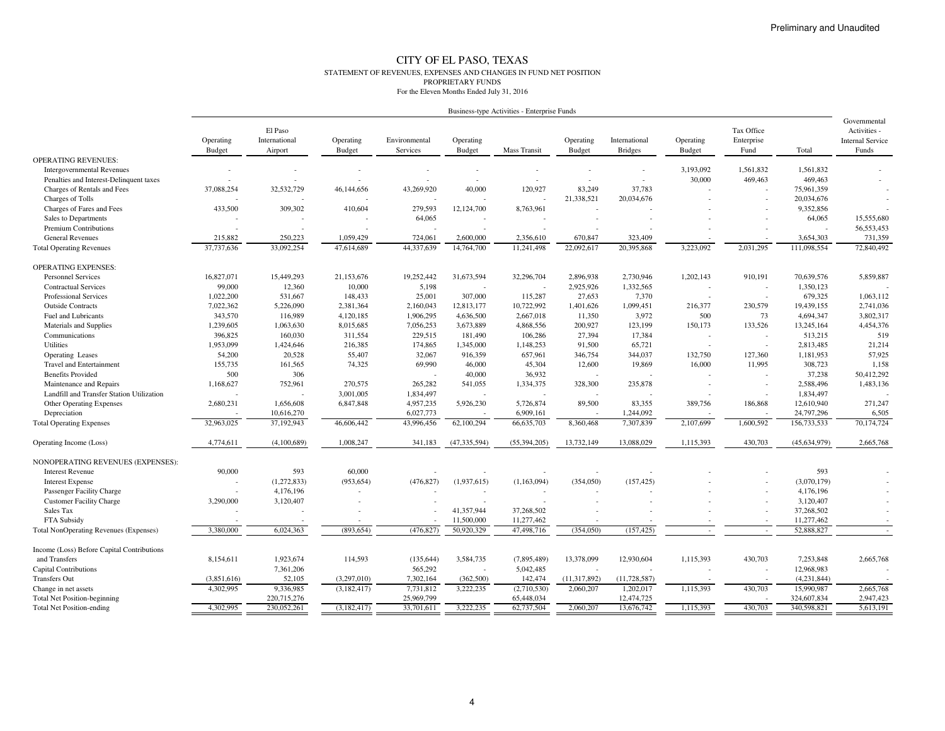#### CITY OF EL PASO, TEXAS STATEMENT OF REVENUES, EXPENSES AND CHANGES IN FUND NET POSITIONPROPRIETARY FUNDSFor the Eleven Months Ended July 31, 2016

| Business-type Activities - Enterprise Funds |  |  |
|---------------------------------------------|--|--|
|                                             |  |  |

|                                               |                     | El Paso                  |                     |                           |                            |                     |                     |                                 |                            | Tax Office               |                | Governmental<br>Activities -     |
|-----------------------------------------------|---------------------|--------------------------|---------------------|---------------------------|----------------------------|---------------------|---------------------|---------------------------------|----------------------------|--------------------------|----------------|----------------------------------|
|                                               | Operating<br>Budget | International<br>Airport | Operating<br>Budget | Environmental<br>Services | Operating<br><b>Budget</b> | <b>Mass Transit</b> | Operating<br>Budget | International<br><b>Bridges</b> | Operating<br><b>Budget</b> | Enterprise<br>Fund       | Total          | <b>Internal Service</b><br>Funds |
| <b>OPERATING REVENUES:</b>                    |                     |                          |                     |                           |                            |                     |                     |                                 |                            |                          |                |                                  |
| <b>Intergovernmental Revenues</b>             |                     |                          |                     |                           |                            |                     | $\overline{a}$      |                                 | 3,193,092                  | 1,561,832                | 1,561,832      |                                  |
| Penalties and Interest-Delinquent taxes       |                     |                          |                     |                           |                            |                     |                     | $\overline{\phantom{a}}$        | 30,000                     | 469,463                  | 469,463        |                                  |
| Charges of Rentals and Fees                   | 37,088,254          | 32,532,729               | 46,144,656          | 43,269,920                | 40,000                     | 120,927             | 83,249              | 37,783                          |                            |                          | 75,961,359     |                                  |
| Charges of Tolls                              |                     |                          |                     |                           |                            |                     | 21,338,521          | 20,034,676                      |                            |                          | 20,034,676     |                                  |
| Charges of Fares and Fees                     | 433,500             | 309,302                  | 410,604             | 279,593                   | 12,124,700                 | 8,763,961           |                     |                                 |                            |                          | 9,352,856      |                                  |
| Sales to Departments                          |                     |                          |                     | 64,065                    |                            |                     |                     |                                 |                            |                          | 64,065         | 15,555,680                       |
| <b>Premium Contributions</b>                  |                     |                          |                     |                           |                            |                     |                     |                                 |                            |                          |                | 56,553,453                       |
| <b>General Revenues</b>                       | 215,882             | 250,223                  | 1,059,429           | 724,061                   | 2,600,000                  | 2,356,610           | 670,847             | 323,409                         |                            |                          | 3,654,303      | 731,359                          |
| <b>Total Operating Revenues</b>               | 37,737,636          | 33,092,254               | 47,614,689          | 44,337,639                | 14,764,700                 | 11,241,498          | 22,092,617          | 20,395,868                      | 3,223,092                  | 2,031,295                | 111,098,554    | 72,840,492                       |
| <b>OPERATING EXPENSES:</b>                    |                     |                          |                     |                           |                            |                     |                     |                                 |                            |                          |                |                                  |
| <b>Personnel Services</b>                     | 16,827,071          | 15,449,293               | 21,153,676          | 19,252,442                | 31,673,594                 | 32,296,704          | 2,896,938           | 2,730,946                       | 1,202,143                  | 910,191                  | 70,639,576     | 5,859,887                        |
| <b>Contractual Services</b>                   | 99,000              | 12,360                   | 10,000              | 5,198                     |                            |                     | 2,925,926           | 1,332,565                       |                            | $\overline{\phantom{a}}$ | 1,350,123      |                                  |
| <b>Professional Services</b>                  | 1,022,200           | 531,667                  | 148,433             | 25,001                    | 307,000                    | 115,287             | 27,653              | 7,370                           |                            | . .                      | 679,325        | 1,063,112                        |
| <b>Outside Contracts</b>                      | 7,022,362           | 5,226,090                | 2,381,364           | 2,160,043                 | 12,813,177                 | 10,722,992          | 1,401,626           | 1,099,451                       | 216,377                    | 230,579                  | 19,439,155     | 2,741,036                        |
| Fuel and Lubricants                           | 343,570             | 116,989                  | 4,120,185           | 1,906,295                 | 4,636,500                  | 2,667,018           | 11,350              | 3,972                           | 500                        | 73                       | 4,694,347      | 3,802,317                        |
| Materials and Supplies                        | 1,239,605           | 1,063,630                | 8,015,685           | 7,056,253                 | 3,673,889                  | 4,868,556           | 200,927             | 123,199                         | 150,173                    | 133,526                  | 13,245,164     | 4,454,376                        |
| Communications                                | 396,825             | 160,030                  | 311,554             | 229,515                   | 181,490                    | 106,286             | 27,394              | 17,384                          |                            |                          | 513,215        | 519                              |
| <b>Utilities</b>                              | 1,953,099           | 1,424,646                | 216,385             | 174,865                   | 1,345,000                  | 1,148,253           | 91,500              | 65,721                          |                            | ۰.                       | 2,813,485      | 21,214                           |
| Operating Leases                              | 54,200              | 20,528                   | 55,407              | 32,067                    | 916,359                    | 657,961             | 346,754             | 344,037                         | 132,750                    | 127,360                  | 1,181,953      | 57,925                           |
| <b>Travel and Entertainment</b>               | 155,735             | 161,565                  | 74,325              | 69,990                    | 46,000                     | 45,304              | 12,600              | 19,869                          | 16,000                     | 11,995                   | 308,723        | 1,158                            |
| <b>Benefits Provided</b>                      | 500                 | 306                      |                     |                           | 40,000                     | 36,932              |                     |                                 |                            |                          | 37,238         | 50,412,292                       |
| Maintenance and Repairs                       | 1,168,627           | 752,961                  | 270,575             | 265,282                   | 541,055                    | 1,334,375           | 328,300             | 235,878                         |                            |                          | 2,588,496      | 1,483,136                        |
| Landfill and Transfer Station Utilization     |                     |                          | 3,001,005           | 1,834,497                 | $\overline{\phantom{a}}$   |                     |                     |                                 |                            |                          | 1,834,497      |                                  |
| <b>Other Operating Expenses</b>               | 2,680,231           | 1,656,608                | 6,847,848           | 4,957,235                 | 5,926,230                  | 5,726,874           | 89,500              | 83.355                          | 389,756                    | 186,868                  | 12,610,940     | 271,247                          |
| Depreciation                                  |                     | 10,616,270               |                     | 6,027,773                 |                            | 6,909,161           |                     | 1,244,092                       |                            |                          | 24,797,296     | 6,505                            |
| <b>Total Operating Expenses</b>               | 32,963,025          | 37,192,943               | 46,606,442          | 43,996,456                | 62,100,294                 | 66, 635, 703        | 8,360,468           | 7,307,839                       | 2,107,699                  | 1,600,592                | 156,733,533    | 70,174,724                       |
|                                               |                     |                          |                     |                           |                            |                     |                     |                                 |                            |                          |                |                                  |
| Operating Income (Loss)                       | 4,774,611           | (4,100,689)              | 1,008,247           | 341,183                   | (47, 335, 594)             | (55, 394, 205)      | 13,732,149          | 13.088.029                      | 1,115,393                  | 430,703                  | (45, 634, 979) | 2,665,768                        |
| NONOPERATING REVENUES (EXPENSES):             |                     |                          |                     |                           |                            |                     |                     |                                 |                            |                          |                |                                  |
| <b>Interest Revenue</b>                       | 90,000              | 593                      | 60,000              |                           |                            |                     |                     |                                 |                            |                          | 593            |                                  |
| <b>Interest Expense</b>                       |                     | (1,272,833)              | (953, 654)          | (476, 827)                | (1,937,615)                | (1,163,094)         | (354,050)           | (157, 425)                      |                            |                          | (3,070,179)    |                                  |
| Passenger Facility Charge                     |                     | 4,176,196                |                     |                           |                            |                     |                     |                                 |                            |                          | 4,176,196      |                                  |
| <b>Customer Facility Charge</b>               | 3,290,000           | 3,120,407                |                     |                           |                            |                     |                     |                                 |                            |                          | 3,120,407      |                                  |
| Sales Tax                                     |                     |                          |                     |                           | 41,357,944                 | 37,268,502          |                     |                                 |                            |                          | 37,268,502     |                                  |
| FTA Subsidy                                   |                     |                          |                     |                           | 11,500,000                 | 11,277,462          |                     |                                 |                            |                          | 11,277,462     |                                  |
| <b>Total NonOperating Revenues (Expenses)</b> | 3,380,000           | 6,024,363                | (893, 654)          | (476, 827)                | 50,920,329                 | 47,498,716          | (354,050)           | (157, 425)                      |                            |                          | 52,888,827     | $\sim$                           |
| Income (Loss) Before Capital Contributions    |                     |                          |                     |                           |                            |                     |                     |                                 |                            |                          |                |                                  |
| and Transfers                                 | 8,154,611           | 1,923,674                | 114,593             | (135, 644)                | 3,584,735                  | (7,895,489)         | 13,378,099          | 12,930,604                      | 1,115,393                  | 430,703                  | 7,253,848      | 2,665,768                        |
| <b>Capital Contributions</b>                  |                     | 7,361,206                |                     | 565,292                   |                            | 5,042,485           |                     |                                 |                            |                          | 12,968,983     |                                  |
| <b>Transfers Out</b>                          | (3,851,616)         | 52,105                   | (3,297,010)         | 7,302,164                 | (362,500)                  | 142,474             | (11, 317, 892)      | (11, 728, 587)                  |                            |                          | (4,231,844)    |                                  |
| Change in net assets                          | 4,302,995           | 9,336,985                | (3,182,417)         | 7,731,812                 | 3,222,235                  | (2,710,530)         | 2,060,207           | 1,202,017                       | 1,115,393                  | 430,703                  | 15,990,987     | 2,665,768                        |
| <b>Total Net Position-beginning</b>           |                     | 220,715,276              |                     | 25,969,799                |                            | 65,448,034          |                     | 12,474,725                      |                            |                          | 324,607,834    | 2,947,423                        |
| <b>Total Net Position-ending</b>              | 4,302,995           | 230,052,261              | (3,182,417)         | 33,701,611                | 3,222,235                  | 62,737,504          | 2,060,207           | 13,676,742                      | 1,115,393                  | 430,703                  | 340,598,821    | 5,613,191                        |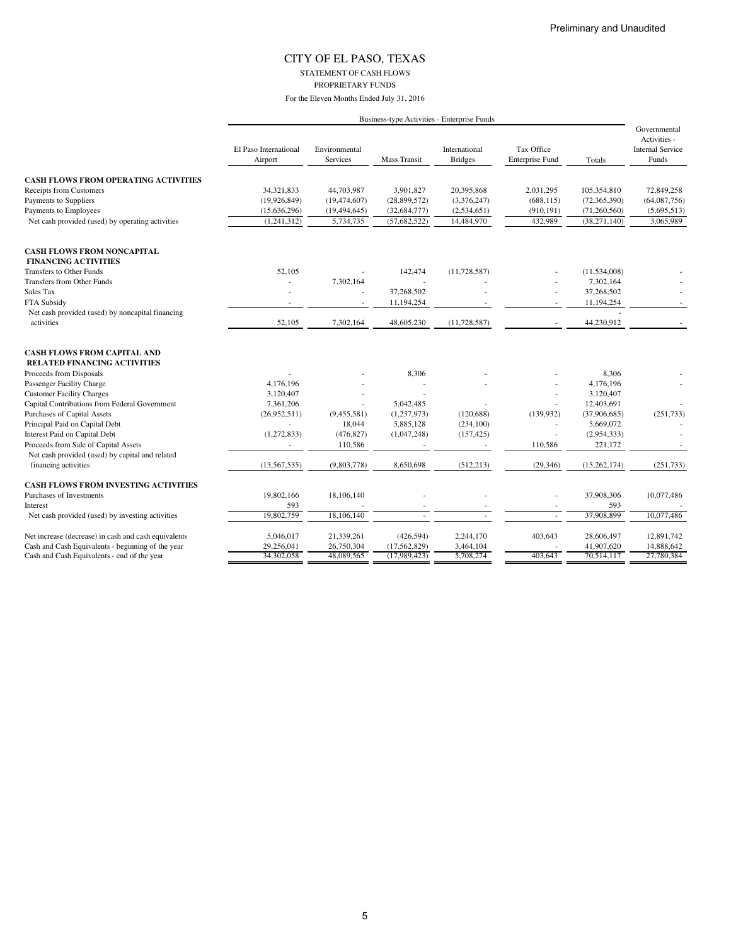STATEMENT OF CASH FLOWS PROPRIETARY FUNDS

|                                                                           |                                  |                                  |                                  | Business-type Activities - Enterprise Funds |                                      |                              |                                                                  |
|---------------------------------------------------------------------------|----------------------------------|----------------------------------|----------------------------------|---------------------------------------------|--------------------------------------|------------------------------|------------------------------------------------------------------|
|                                                                           | El Paso International<br>Airport | Environmental<br>Services        | Mass Transit                     | International<br><b>Bridges</b>             | Tax Office<br><b>Enterprise Fund</b> | Totals                       | Governmental<br>Activities -<br><b>Internal Service</b><br>Funds |
|                                                                           |                                  |                                  |                                  |                                             |                                      |                              |                                                                  |
| <b>CASH FLOWS FROM OPERATING ACTIVITIES</b>                               | 34.321.833                       |                                  |                                  | 20.395.868                                  |                                      |                              | 72.849.258                                                       |
| <b>Receipts from Customers</b><br>Payments to Suppliers                   |                                  | 44,703,987                       | 3,901,827                        |                                             | 2,031,295                            | 105,354,810                  | (64,087,756)                                                     |
| Payments to Employees                                                     | (19, 926, 849)<br>(15,636,296)   | (19, 474, 607)<br>(19, 494, 645) | (28, 899, 572)<br>(32, 684, 777) | (3,376,247)<br>(2,534,651)                  | (688, 115)<br>(910, 191)             | (72,365,390)<br>(71,260,560) | (5,695,513)                                                      |
| Net cash provided (used) by operating activities                          | (1,241,312)                      | 5,734,735                        | (57,682,522)                     | 14,484,970                                  | 432,989                              | (38, 271, 140)               | 3,065,989                                                        |
|                                                                           |                                  |                                  |                                  |                                             |                                      |                              |                                                                  |
| <b>CASH FLOWS FROM NONCAPITAL</b><br><b>FINANCING ACTIVITIES</b>          |                                  |                                  |                                  |                                             |                                      |                              |                                                                  |
| Transfers to Other Funds                                                  | 52,105                           |                                  | 142,474                          | (11, 728, 587)                              |                                      | (11, 534, 008)               |                                                                  |
| Transfers from Other Funds                                                |                                  | 7,302,164                        |                                  |                                             |                                      | 7,302,164                    |                                                                  |
| Sales Tax                                                                 |                                  |                                  | 37,268,502                       |                                             | ä,                                   | 37,268,502                   |                                                                  |
| FTA Subsidy                                                               |                                  |                                  | 11,194,254                       |                                             | $\blacksquare$                       | 11,194,254                   | $\sim$                                                           |
| Net cash provided (used) by noncapital financing                          |                                  |                                  |                                  |                                             |                                      |                              |                                                                  |
| activities                                                                | 52,105                           | 7,302,164                        | 48,605,230                       | (11, 728, 587)                              |                                      | 44,230,912                   |                                                                  |
| <b>CASH FLOWS FROM CAPITAL AND</b><br><b>RELATED FINANCING ACTIVITIES</b> |                                  |                                  |                                  |                                             |                                      |                              |                                                                  |
| Proceeds from Disposals                                                   |                                  |                                  | 8,306                            |                                             |                                      | 8,306                        |                                                                  |
| Passenger Facility Charge                                                 | 4,176,196                        |                                  |                                  |                                             |                                      | 4,176,196                    |                                                                  |
| <b>Customer Facility Charges</b>                                          | 3,120,407                        |                                  |                                  |                                             |                                      | 3,120,407                    |                                                                  |
| Capital Contributions from Federal Government                             | 7,361,206                        |                                  | 5,042,485                        |                                             | ÷,                                   | 12,403,691                   |                                                                  |
| Purchases of Capital Assets                                               | (26,952,511)                     | (9,455,581)                      | (1,237,973)                      | (120, 688)                                  | (139, 932)                           | (37,906,685)                 | (251, 733)                                                       |
| Principal Paid on Capital Debt                                            |                                  | 18,044                           | 5,885,128                        | (234, 100)                                  | ä,                                   | 5,669,072                    |                                                                  |
| Interest Paid on Capital Debt                                             | (1,272,833)                      | (476, 827)                       | (1,047,248)                      | (157, 425)                                  |                                      | (2,954,333)                  |                                                                  |
| Proceeds from Sale of Capital Assets                                      |                                  | 110,586                          |                                  |                                             | 110,586                              | 221,172                      |                                                                  |
| Net cash provided (used) by capital and related                           |                                  |                                  |                                  |                                             |                                      |                              |                                                                  |
| financing activities                                                      | (13, 567, 535)                   | (9,803,778)                      | 8,650,698                        | (512, 213)                                  | (29, 346)                            | (15,262,174)                 | (251, 733)                                                       |
| <b>CASH FLOWS FROM INVESTING ACTIVITIES</b>                               |                                  |                                  |                                  |                                             |                                      |                              |                                                                  |
| Purchases of Investments                                                  | 19,802,166                       | 18,106,140                       |                                  |                                             |                                      | 37,908,306                   | 10,077,486                                                       |
| Interest                                                                  | 593                              |                                  |                                  |                                             |                                      | 593                          |                                                                  |
| Net cash provided (used) by investing activities                          | 19,802,759                       | 18,106,140                       | ٠                                |                                             | $\overline{\phantom{a}}$             | 37,908,899                   | 10,077,486                                                       |
| Net increase (decrease) in cash and cash equivalents                      | 5,046,017                        | 21,339,261                       | (426, 594)                       | 2,244,170                                   | 403,643                              | 28,606,497                   | 12,891,742                                                       |
| Cash and Cash Equivalents - beginning of the year                         | 29,256,041                       | 26,750,304                       | (17, 562, 829)                   | 3,464,104                                   |                                      | 41,907,620                   | 14,888,642                                                       |
| Cash and Cash Equivalents - end of the year                               | 34,302,058                       | 48,089,565                       | (17,989,423)                     | 5,708,274                                   | 403.643                              | 70,514,117                   | 27,780,384                                                       |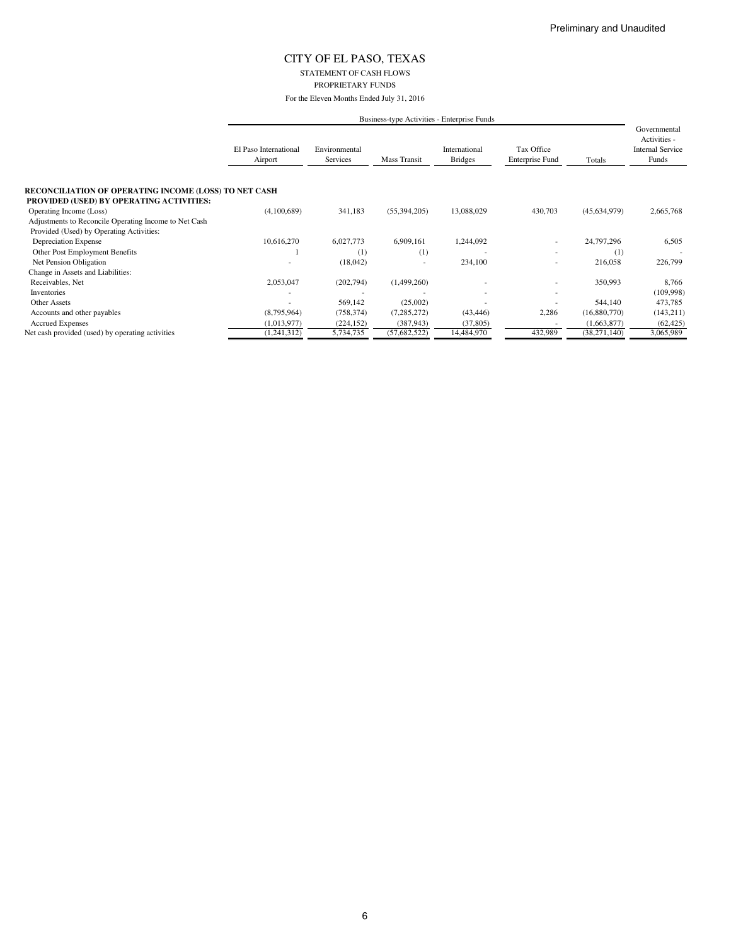STATEMENT OF CASH FLOWS PROPRIETARY FUNDS

For the Eleven Months Ended July 31, 2016

|                                                                                                          |                                  | Business-type Activities - Enterprise Funds |                |                                 |                                      |                |                                                                  |  |  |  |
|----------------------------------------------------------------------------------------------------------|----------------------------------|---------------------------------------------|----------------|---------------------------------|--------------------------------------|----------------|------------------------------------------------------------------|--|--|--|
|                                                                                                          | El Paso International<br>Airport | Environmental<br>Services                   | Mass Transit   | International<br><b>Bridges</b> | Tax Office<br><b>Enterprise Fund</b> | Totals         | Governmental<br>Activities -<br><b>Internal Service</b><br>Funds |  |  |  |
| RECONCILIATION OF OPERATING INCOME (LOSS) TO NET CASH<br><b>PROVIDED (USED) BY OPERATING ACTIVITIES:</b> |                                  |                                             |                |                                 |                                      |                |                                                                  |  |  |  |
| Operating Income (Loss)                                                                                  | (4,100,689)                      | 341,183                                     | (55,394,205)   | 13,088,029                      | 430,703                              | (45, 634, 979) | 2,665,768                                                        |  |  |  |
| Adjustments to Reconcile Operating Income to Net Cash                                                    |                                  |                                             |                |                                 |                                      |                |                                                                  |  |  |  |
| Provided (Used) by Operating Activities:                                                                 |                                  |                                             |                |                                 |                                      |                |                                                                  |  |  |  |
| Depreciation Expense                                                                                     | 10,616,270                       | 6,027,773                                   | 6,909,161      | 1,244,092                       | ٠                                    | 24,797,296     | 6,505                                                            |  |  |  |
| Other Post Employment Benefits                                                                           |                                  | $\scriptstyle{(1)}$                         | (1)            |                                 | ٠                                    | (1)            |                                                                  |  |  |  |
| Net Pension Obligation                                                                                   |                                  | (18,042)                                    |                | 234,100                         | ۰                                    | 216,058        | 226,799                                                          |  |  |  |
| Change in Assets and Liabilities:                                                                        |                                  |                                             |                |                                 |                                      |                |                                                                  |  |  |  |
| Receivables, Net                                                                                         | 2,053,047                        | (202, 794)                                  | (1,499,260)    |                                 | ٠                                    | 350,993        | 8,766                                                            |  |  |  |
| Inventories                                                                                              |                                  |                                             |                |                                 |                                      |                | (109,998)                                                        |  |  |  |
| <b>Other Assets</b>                                                                                      |                                  | 569,142                                     | (25,002)       |                                 |                                      | 544,140        | 473,785                                                          |  |  |  |
| Accounts and other payables                                                                              | (8,795,964)                      | (758, 374)                                  | (7, 285, 272)  | (43, 446)                       | 2,286                                | (16,880,770)   | (143, 211)                                                       |  |  |  |
| <b>Accrued Expenses</b>                                                                                  | (1,013,977)                      | (224, 152)                                  | (387, 943)     | (37, 805)                       |                                      | (1,663,877)    | (62, 425)                                                        |  |  |  |
| Net cash provided (used) by operating activities                                                         | (1,241,312)                      | 5,734,735                                   | (57, 682, 522) | 14,484,970                      | 432,989                              | (38, 271, 140) | 3,065,989                                                        |  |  |  |

6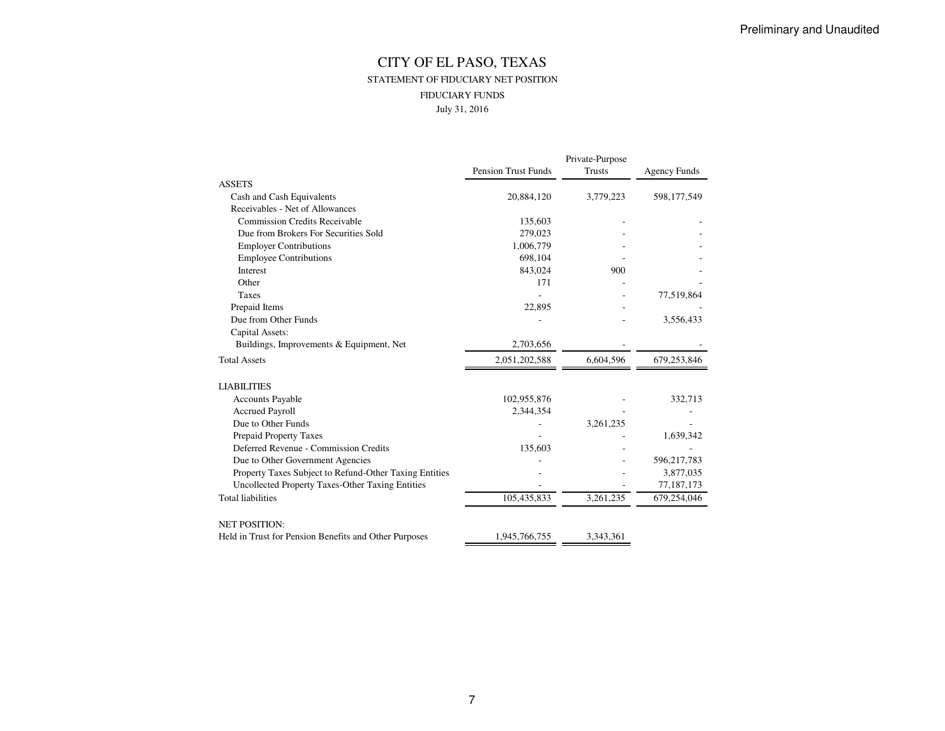### CITY OF EL PASO, TEXAS STATEMENT OF FIDUCIARY NET POSITIONFIDUCIARY FUNDSJuly 31, 2016

|                                                        | Private-Purpose            |               |                     |  |  |
|--------------------------------------------------------|----------------------------|---------------|---------------------|--|--|
|                                                        | <b>Pension Trust Funds</b> | <b>Trusts</b> | <b>Agency Funds</b> |  |  |
| <b>ASSETS</b>                                          |                            |               |                     |  |  |
| Cash and Cash Equivalents                              | 20,884,120                 | 3,779,223     | 598,177,549         |  |  |
| Receivables - Net of Allowances                        |                            |               |                     |  |  |
| <b>Commission Credits Receivable</b>                   | 135,603                    |               |                     |  |  |
| Due from Brokers For Securities Sold                   | 279,023                    |               |                     |  |  |
| <b>Employer Contributions</b>                          | 1,006,779                  |               |                     |  |  |
| <b>Employee Contributions</b>                          | 698,104                    |               |                     |  |  |
| <b>Interest</b>                                        | 843,024                    | 900           |                     |  |  |
| Other                                                  | 171                        |               |                     |  |  |
| <b>Taxes</b>                                           |                            |               | 77,519,864          |  |  |
| Prepaid Items                                          | 22,895                     |               |                     |  |  |
| Due from Other Funds                                   |                            |               | 3,556,433           |  |  |
| Capital Assets:                                        |                            |               |                     |  |  |
| Buildings, Improvements & Equipment, Net               | 2,703,656                  |               |                     |  |  |
| <b>Total Assets</b>                                    | 2,051,202,588              | 6,604,596     | 679,253,846         |  |  |
| <b>LIABILITIES</b>                                     |                            |               |                     |  |  |
| <b>Accounts Payable</b>                                | 102,955,876                |               | 332,713             |  |  |
| <b>Accrued Payroll</b>                                 | 2,344,354                  |               |                     |  |  |
| Due to Other Funds                                     |                            | 3,261,235     |                     |  |  |
| Prepaid Property Taxes                                 |                            |               | 1,639,342           |  |  |
| Deferred Revenue - Commission Credits                  | 135,603                    |               |                     |  |  |
| Due to Other Government Agencies                       |                            |               | 596,217,783         |  |  |
| Property Taxes Subject to Refund-Other Taxing Entities |                            |               | 3,877,035           |  |  |
| Uncollected Property Taxes-Other Taxing Entities       |                            |               | 77,187,173          |  |  |
| <b>Total liabilities</b>                               | 105,435,833                | 3,261,235     | 679,254,046         |  |  |
| <b>NET POSITION:</b>                                   |                            |               |                     |  |  |
| Held in Trust for Pension Benefits and Other Purposes  | 1,945,766,755              | 3,343,361     |                     |  |  |
|                                                        |                            |               |                     |  |  |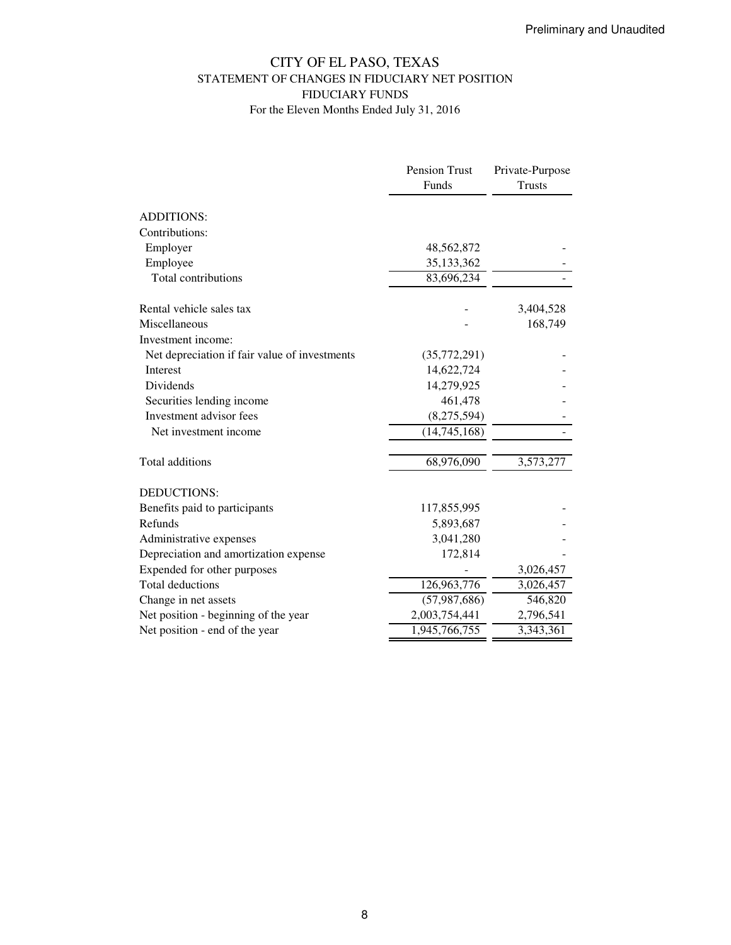## CITY OF EL PASO, TEXAS STATEMENT OF CHANGES IN FIDUCIARY NET POSITION FIDUCIARY FUNDS For the Eleven Months Ended July 31, 2016

|                                               | Pension Trust  | Private-Purpose |  |
|-----------------------------------------------|----------------|-----------------|--|
|                                               | Funds          | <b>Trusts</b>   |  |
| <b>ADDITIONS:</b>                             |                |                 |  |
| Contributions:                                |                |                 |  |
| Employer                                      | 48,562,872     |                 |  |
| Employee                                      | 35, 133, 362   |                 |  |
| Total contributions                           | 83,696,234     |                 |  |
| Rental vehicle sales tax                      |                | 3,404,528       |  |
| Miscellaneous                                 |                | 168,749         |  |
| Investment income:                            |                |                 |  |
| Net depreciation if fair value of investments | (35,772,291)   |                 |  |
| <b>Interest</b>                               | 14,622,724     |                 |  |
| Dividends                                     | 14,279,925     |                 |  |
| Securities lending income                     | 461,478        |                 |  |
| Investment advisor fees                       | (8,275,594)    |                 |  |
| Net investment income                         | (14,745,168)   |                 |  |
| Total additions                               | 68,976,090     | 3,573,277       |  |
| DEDUCTIONS:                                   |                |                 |  |
| Benefits paid to participants                 | 117,855,995    |                 |  |
| Refunds                                       | 5,893,687      |                 |  |
| Administrative expenses                       | 3,041,280      |                 |  |
| Depreciation and amortization expense         | 172,814        |                 |  |
| Expended for other purposes                   |                | 3,026,457       |  |
| <b>Total deductions</b>                       | 126,963,776    | 3,026,457       |  |
| Change in net assets                          | (57, 987, 686) | 546,820         |  |
| Net position - beginning of the year          | 2,003,754,441  | 2,796,541       |  |
| Net position - end of the year                | 1,945,766,755  | 3,343,361       |  |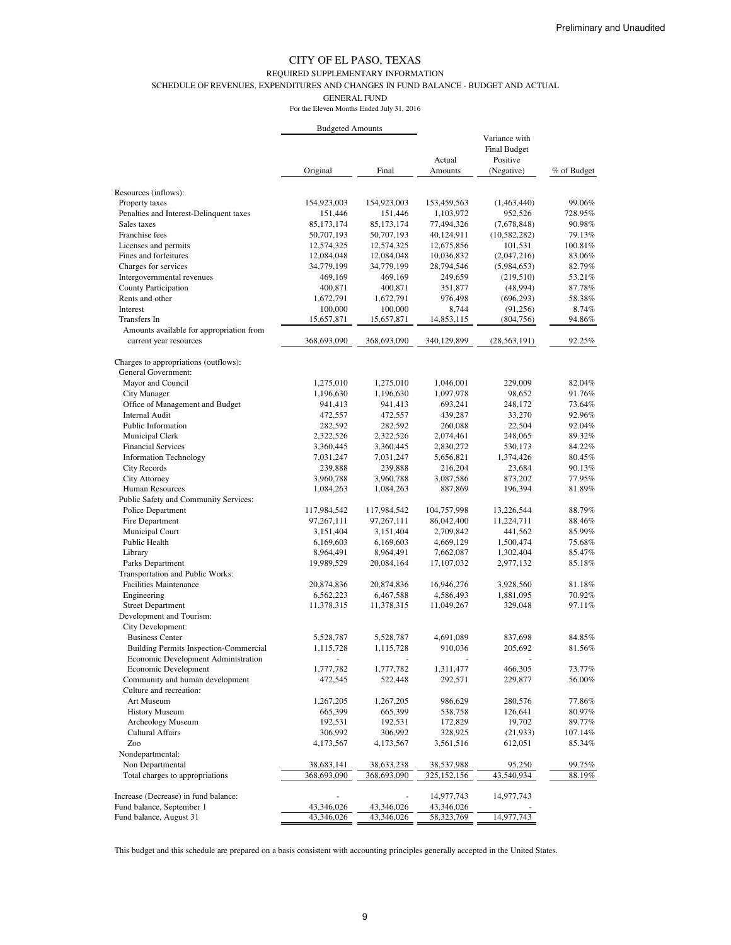### REQUIRED SUPPLEMENTARY INFORMATION

SCHEDULE OF REVENUES, EXPENDITURES AND CHANGES IN FUND BALANCE - BUDGET AND ACTUAL

GENERAL FUND

For the Eleven Months Ended July 31, 2016

|                                                            | <b>Budgeted Amounts</b> |             |                   |                                      |             |
|------------------------------------------------------------|-------------------------|-------------|-------------------|--------------------------------------|-------------|
|                                                            |                         |             |                   | Variance with<br><b>Final Budget</b> |             |
|                                                            | Original                | Final       | Actual<br>Amounts | Positive<br>(Negative)               | % of Budget |
| Resources (inflows):                                       |                         |             |                   |                                      |             |
| Property taxes                                             | 154,923,003             | 154,923,003 | 153,459,563       | (1,463,440)                          | 99.06%      |
| Penalties and Interest-Delinquent taxes                    | 151,446                 | 151,446     | 1,103,972         | 952,526                              | 728.95%     |
| Sales taxes                                                | 85,173,174              | 85,173,174  | 77,494,326        | (7,678,848)                          | 90.98%      |
| Franchise fees                                             | 50,707,193              | 50,707,193  | 40,124,911        | (10, 582, 282)                       | 79.13%      |
| Licenses and permits                                       | 12,574,325              | 12,574,325  | 12,675,856        | 101,531                              | 100.81%     |
| Fines and forfeitures                                      | 12,084,048              | 12,084,048  | 10,036,832        | (2,047,216)                          | 83.06%      |
| Charges for services                                       | 34,779,199              | 34,779,199  | 28,794,546        | (5,984,653)                          | 82.79%      |
| Intergovernmental revenues                                 | 469,169                 | 469,169     | 249,659           | (219, 510)                           | 53.21%      |
| <b>County Participation</b>                                | 400,871                 | 400,871     | 351,877           | (48,994)                             | 87.78%      |
| Rents and other                                            | 1,672,791               | 1,672,791   | 976,498           | (696, 293)                           | 58.38%      |
| Interest                                                   | 100,000                 | 100,000     | 8,744             | (91,256)                             | 8.74%       |
| Transfers In                                               | 15,657,871              | 15,657,871  | 14,853,115        | (804, 756)                           | 94.86%      |
| Amounts available for appropriation from                   |                         |             |                   |                                      |             |
| current year resources                                     | 368,693,090             | 368,693,090 | 340,129,899       | (28, 563, 191)                       | 92.25%      |
| Charges to appropriations (outflows):                      |                         |             |                   |                                      |             |
| <b>General Government:</b>                                 |                         |             |                   |                                      |             |
| Mayor and Council                                          | 1,275,010               | 1,275,010   | 1,046,001         | 229,009                              | 82.04%      |
| <b>City Manager</b>                                        | 1,196,630               | 1,196,630   | 1,097,978         | 98,652                               | 91.76%      |
| Office of Management and Budget                            | 941,413                 | 941,413     | 693,241           | 248,172                              | 73.64%      |
| <b>Internal Audit</b>                                      | 472,557                 | 472,557     | 439,287           | 33,270                               | 92.96%      |
| Public Information                                         | 282,592                 | 282,592     | 260,088           | 22,504                               | 92.04%      |
| Municipal Clerk                                            | 2,322,526               | 2,322,526   | 2,074,461         | 248,065                              | 89.32%      |
| <b>Financial Services</b>                                  | 3,360,445               | 3,360,445   | 2,830,272         | 530,173                              | 84.22%      |
| <b>Information Technology</b>                              | 7,031,247               | 7,031,247   | 5,656,821         | 1,374,426                            | 80.45%      |
| <b>City Records</b>                                        | 239,888                 | 239,888     | 216,204           | 23,684                               | 90.13%      |
| <b>City Attorney</b>                                       | 3,960,788               | 3,960,788   | 3,087,586         | 873,202                              | 77.95%      |
| Human Resources                                            | 1,084,263               | 1,084,263   | 887,869           | 196,394                              | 81.89%      |
| Public Safety and Community Services:                      |                         |             |                   |                                      |             |
| Police Department                                          | 117,984,542             | 117,984,542 | 104,757,998       | 13,226,544                           | 88.79%      |
| Fire Department                                            | 97,267,111              | 97,267,111  | 86,042,400        | 11,224,711                           | 88.46%      |
| Municipal Court                                            | 3,151,404               | 3,151,404   | 2,709,842         | 441,562                              | 85.99%      |
| Public Health                                              | 6,169,603               | 6,169,603   | 4,669,129         | 1,500,474                            | 75.68%      |
| Library                                                    | 8,964,491               | 8,964,491   | 7,662,087         | 1,302,404                            | 85.47%      |
| Parks Department                                           | 19,989,529              | 20,084,164  | 17,107,032        | 2,977,132                            | 85.18%      |
| Transportation and Public Works:                           |                         |             |                   |                                      |             |
| <b>Facilities Maintenance</b>                              | 20,874,836              | 20,874,836  | 16,946,276        | 3,928,560                            | 81.18%      |
| Engineering                                                | 6,562,223               | 6,467,588   | 4,586,493         | 1,881,095                            | 70.92%      |
| <b>Street Department</b>                                   | 11,378,315              | 11,378,315  | 11,049,267        | 329,048                              | 97.11%      |
| Development and Tourism:                                   |                         |             |                   |                                      |             |
| <b>City Development:</b>                                   |                         |             |                   |                                      |             |
| <b>Business Center</b>                                     | 5,528,787               | 5,528,787   | 4,691,089         | 837,698                              | 84.85%      |
| Building Permits Inspection-Commercial                     | 1,115,728               | 1,115,728   | 910,036           | 205,692                              | 81.56%      |
| Economic Development Administration                        |                         |             |                   |                                      |             |
| Economic Development                                       | 1,777,782               | 1,777,782   | 1,311,477         | 466,305                              | 73.77%      |
| Community and human development<br>Culture and recreation: | 472,545                 | 522,448     | 292,571           | 229,877                              | 56.00%      |
| Art Museum                                                 | 1,267,205               | 1,267,205   | 986,629           | 280,576                              | 77.86%      |
| <b>History Museum</b>                                      | 665,399                 | 665,399     | 538,758           | 126,641                              | 80.97%      |
| Archeology Museum                                          | 192,531                 | 192,531     | 172,829           | 19,702                               | 89.77%      |
| <b>Cultural Affairs</b>                                    | 306,992                 | 306,992     | 328,925           | (21, 933)                            | 107.14%     |
| Zoo                                                        | 4,173,567               | 4,173,567   | 3,561,516         | 612,051                              | 85.34%      |
| Nondepartmental:                                           |                         |             |                   |                                      |             |
| Non Departmental                                           | 38,683,141              | 38,633,238  | 38,537,988        | 95,250                               | 99.75%      |
| Total charges to appropriations                            | 368,693,090             | 368,693,090 | 325,152,156       | 43,540,934                           | 88.19%      |
| Increase (Decrease) in fund balance:                       |                         |             | 14,977,743        | 14,977,743                           |             |
| Fund balance, September 1                                  | 43,346,026              | 43,346,026  | 43,346,026        |                                      |             |
| Fund balance, August 31                                    | 43,346,026              | 43,346,026  | 58,323,769        | 14,977,743                           |             |

This budget and this schedule are prepared on a basis consistent with accounting principles generally accepted in the United States.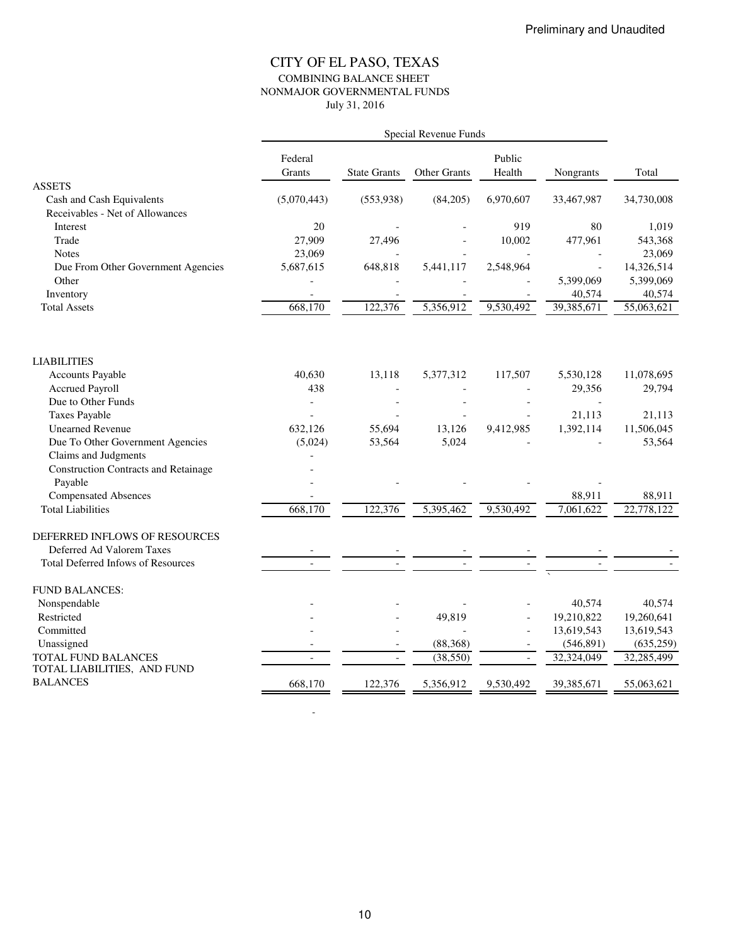### CITY OF EL PASO, TEXAS COMBINING BALANCE SHEET NONMAJOR GOVERNMENTAL FUNDS July 31, 2016

|                                                    | Federal<br>Grants        | <b>State Grants</b> | <b>Other Grants</b> | Public<br>Health | Nongrants  | Total      |
|----------------------------------------------------|--------------------------|---------------------|---------------------|------------------|------------|------------|
| <b>ASSETS</b>                                      |                          |                     |                     |                  |            |            |
| Cash and Cash Equivalents                          | (5,070,443)              | (553,938)           | (84,205)            | 6,970,607        | 33,467,987 | 34,730,008 |
| Receivables - Net of Allowances                    |                          |                     |                     |                  |            |            |
| Interest                                           | 20                       |                     |                     | 919              | 80         | 1,019      |
| Trade                                              | 27,909                   | 27,496              |                     | 10,002           | 477,961    | 543,368    |
| <b>Notes</b>                                       | 23,069                   |                     |                     |                  |            | 23,069     |
| Due From Other Government Agencies                 | 5,687,615                | 648,818             | 5,441,117           | 2,548,964        |            | 14,326,514 |
| Other                                              |                          |                     |                     |                  | 5,399,069  | 5,399,069  |
| Inventory                                          |                          |                     |                     |                  | 40,574     | 40,574     |
| <b>Total Assets</b>                                | 668,170                  | 122,376             | 5,356,912           | 9,530,492        | 39,385,671 | 55,063,621 |
|                                                    |                          |                     |                     |                  |            |            |
| <b>LIABILITIES</b>                                 |                          |                     |                     |                  |            |            |
| <b>Accounts Payable</b>                            | 40,630                   | 13,118              | 5,377,312           | 117,507          | 5,530,128  | 11,078,695 |
| <b>Accrued Payroll</b>                             | 438                      |                     |                     |                  | 29,356     | 29,794     |
| Due to Other Funds                                 |                          |                     |                     |                  |            |            |
| <b>Taxes Payable</b>                               |                          |                     |                     |                  | 21,113     | 21,113     |
| <b>Unearned Revenue</b>                            | 632,126                  | 55,694              | 13,126              | 9,412,985        | 1,392,114  | 11,506,045 |
| Due To Other Government Agencies                   | (5,024)                  | 53,564              | 5,024               |                  |            | 53,564     |
| Claims and Judgments                               |                          |                     |                     |                  |            |            |
| <b>Construction Contracts and Retainage</b>        |                          |                     |                     |                  |            |            |
| Payable                                            |                          |                     |                     |                  |            |            |
| <b>Compensated Absences</b>                        |                          |                     |                     |                  | 88,911     | 88,911     |
| <b>Total Liabilities</b>                           | 668,170                  | 122,376             | 5,395,462           | 9,530,492        | 7,061,622  | 22,778,122 |
| DEFERRED INFLOWS OF RESOURCES                      |                          |                     |                     |                  |            |            |
| Deferred Ad Valorem Taxes                          |                          |                     |                     |                  |            |            |
| <b>Total Deferred Infows of Resources</b>          | $\overline{\phantom{a}}$ |                     |                     |                  |            |            |
| <b>FUND BALANCES:</b>                              |                          |                     |                     |                  |            |            |
| Nonspendable                                       |                          |                     |                     |                  | 40,574     | 40,574     |
| Restricted                                         |                          |                     | 49,819              |                  | 19,210,822 | 19,260,641 |
| Committed                                          |                          |                     |                     | $\overline{a}$   | 13,619,543 | 13,619,543 |
| Unassigned                                         |                          |                     | (88, 368)           |                  | (546, 891) | (635, 259) |
| TOTAL FUND BALANCES<br>TOTAL LIABILITIES, AND FUND | $\overline{a}$           | $\overline{a}$      | (38, 550)           |                  | 32,324,049 | 32,285,499 |
| <b>BALANCES</b>                                    | 668,170                  | 122,376             | 5,356,912           | 9,530,492        | 39,385,671 | 55,063,621 |

- 100 minutes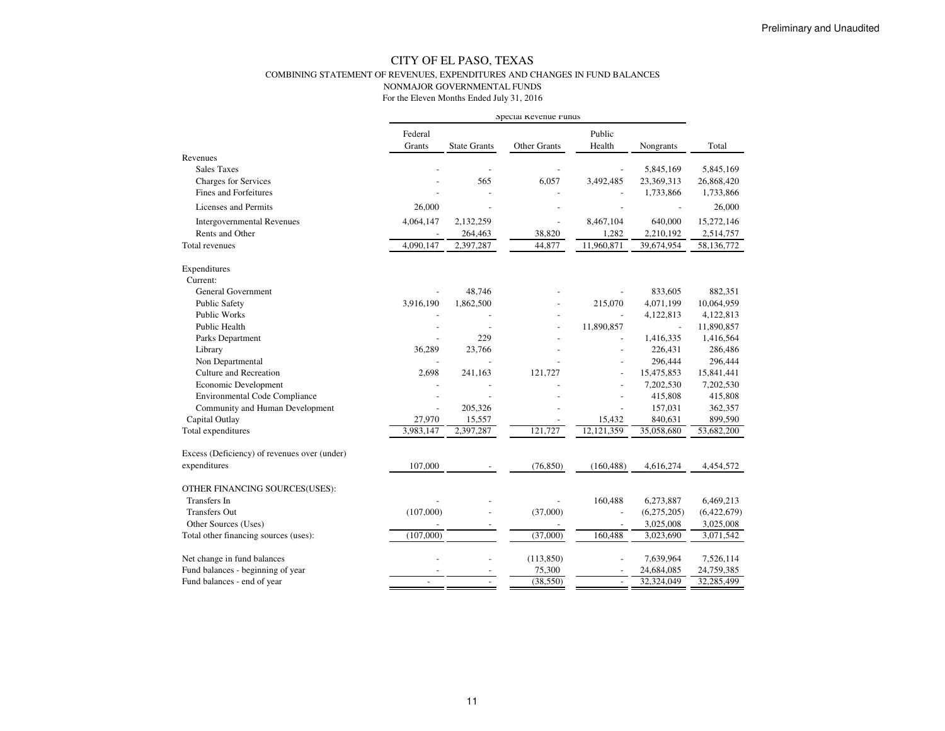#### COMBINING STATEMENT OF REVENUES, EXPENDITURES AND CHANGES IN FUND BALANCES

NONMAJOR GOVERNMENTAL FUNDS

|                                              |                          |                     | Special Revenue Funds |                          |                |             |
|----------------------------------------------|--------------------------|---------------------|-----------------------|--------------------------|----------------|-------------|
|                                              | Federal                  |                     |                       | Public                   |                |             |
|                                              | Grants                   | <b>State Grants</b> | Other Grants          | Health                   | Nongrants      | Total       |
| Revenues<br><b>Sales Taxes</b>               |                          |                     |                       |                          | 5,845,169      | 5,845,169   |
| Charges for Services                         |                          | 565                 | 6,057                 | 3,492,485                | 23,369,313     | 26,868,420  |
| <b>Fines and Forfeitures</b>                 |                          |                     |                       |                          | 1,733,866      | 1,733,866   |
| Licenses and Permits                         | 26,000                   |                     |                       |                          | $\overline{a}$ | 26,000      |
| <b>Intergovernmental Revenues</b>            | 4,064,147                | 2,132,259           |                       | 8,467,104                | 640,000        | 15,272,146  |
| Rents and Other                              |                          | 264,463             | 38,820                | 1,282                    | 2,210,192      | 2,514,757   |
| <b>Total revenues</b>                        | 4,090,147                | 2,397,287           | 44,877                | 11,960,871               | 39,674,954     | 58,136,772  |
| Expenditures                                 |                          |                     |                       |                          |                |             |
| Current:                                     |                          |                     |                       |                          |                |             |
| <b>General Government</b>                    |                          | 48,746              |                       |                          | 833,605        | 882,351     |
| Public Safety                                | 3,916,190                | 1,862,500           |                       | 215,070                  | 4,071,199      | 10,064,959  |
| <b>Public Works</b>                          |                          |                     |                       |                          | 4,122,813      | 4,122,813   |
| Public Health                                |                          | L,                  |                       | 11,890,857               | $\overline{a}$ | 11,890,857  |
| Parks Department                             |                          | 229                 |                       |                          | 1,416,335      | 1,416,564   |
| Library                                      | 36,289                   | 23,766              |                       |                          | 226,431        | 286,486     |
| Non Departmental                             |                          |                     |                       |                          | 296,444        | 296,444     |
| Culture and Recreation                       | 2,698                    | 241,163             | 121,727               | L,                       | 15,475,853     | 15,841,441  |
| Economic Development                         |                          |                     |                       |                          | 7,202,530      | 7,202,530   |
| <b>Environmental Code Compliance</b>         |                          |                     |                       | $\overline{a}$           | 415,808        | 415,808     |
| Community and Human Development              | $\overline{\phantom{a}}$ | 205,326             |                       | $\overline{a}$           | 157,031        | 362,357     |
| Capital Outlay                               | 27,970                   | 15,557              |                       | 15,432                   | 840,631        | 899,590     |
| Total expenditures                           | 3,983,147                | 2,397,287           | 121,727               | 12, 121, 359             | 35,058,680     | 53,682,200  |
| Excess (Deficiency) of revenues over (under) |                          |                     |                       |                          |                |             |
| expenditures                                 | 107,000                  |                     | (76, 850)             | (160, 488)               | 4,616,274      | 4,454,572   |
| OTHER FINANCING SOURCES(USES):               |                          |                     |                       |                          |                |             |
| <b>Transfers</b> In                          |                          |                     |                       | 160,488                  | 6,273,887      | 6,469,213   |
| <b>Transfers Out</b>                         | (107,000)                |                     | (37,000)              | $\overline{a}$           | (6,275,205)    | (6,422,679) |
| Other Sources (Uses)                         |                          |                     |                       |                          | 3,025,008      | 3,025,008   |
| Total other financing sources (uses):        | (107,000)                |                     | (37,000)              | 160,488                  | 3,023,690      | 3,071,542   |
| Net change in fund balances                  |                          |                     | (113, 850)            |                          | 7,639,964      | 7,526,114   |
| Fund balances - beginning of year            |                          |                     | 75,300                |                          | 24,684,085     | 24,759,385  |
| Fund balances - end of year                  | $\overline{a}$           |                     | (38, 550)             | $\overline{\phantom{a}}$ | 32,324,049     | 32,285,499  |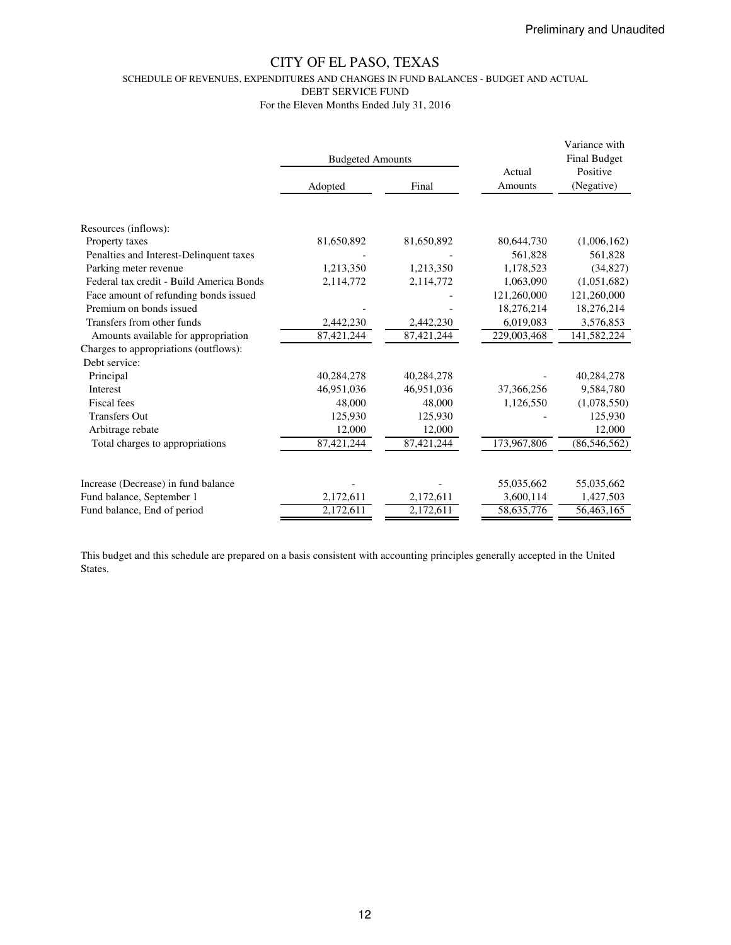SCHEDULE OF REVENUES, EXPENDITURES AND CHANGES IN FUND BALANCES - BUDGET AND ACTUAL

DEBT SERVICE FUND

For the Eleven Months Ended July 31, 2016

|                                          | <b>Budgeted Amounts</b> |                        |                   | Variance with<br><b>Final Budget</b> |  |
|------------------------------------------|-------------------------|------------------------|-------------------|--------------------------------------|--|
|                                          | Adopted                 | Final                  | Actual<br>Amounts | Positive<br>(Negative)               |  |
|                                          |                         |                        |                   |                                      |  |
| Resources (inflows):                     |                         |                        |                   |                                      |  |
| Property taxes                           | 81,650,892              | 81,650,892             | 80,644,730        | (1,006,162)                          |  |
| Penalties and Interest-Delinquent taxes  |                         |                        | 561,828           | 561,828                              |  |
| Parking meter revenue                    | 1,213,350               | 1,213,350              | 1,178,523         | (34,827)                             |  |
| Federal tax credit - Build America Bonds | 2,114,772               | 2,114,772              | 1,063,090         | (1,051,682)                          |  |
| Face amount of refunding bonds issued    |                         |                        | 121,260,000       | 121,260,000                          |  |
| Premium on bonds issued                  |                         |                        | 18,276,214        | 18,276,214                           |  |
| Transfers from other funds               | 2,442,230               | 2,442,230              | 6,019,083         | 3,576,853                            |  |
| Amounts available for appropriation      | 87,421,244              | 87,421,244             | 229,003,468       | 141,582,224                          |  |
| Charges to appropriations (outflows):    |                         |                        |                   |                                      |  |
| Debt service:                            |                         |                        |                   |                                      |  |
| Principal                                | 40,284,278              | 40,284,278             |                   | 40,284,278                           |  |
| Interest                                 | 46,951,036              | 46,951,036             | 37, 366, 256      | 9,584,780                            |  |
| Fiscal fees                              | 48,000                  | 48,000                 | 1,126,550         | (1,078,550)                          |  |
| <b>Transfers Out</b>                     | 125,930                 | 125,930                |                   | 125,930                              |  |
| Arbitrage rebate                         | 12,000                  | 12,000                 |                   | 12,000                               |  |
| Total charges to appropriations          | 87,421,244              | 87,421,244             | 173,967,806       | (86, 546, 562)                       |  |
| Increase (Decrease) in fund balance      |                         |                        | 55,035,662        | 55,035,662                           |  |
| Fund balance, September 1                | 2,172,611               | 2,172,611              | 3,600,114         | 1,427,503                            |  |
| Fund balance, End of period              | 2,172,611               | $\overline{2,}172,611$ | 58,635,776        | 56,463,165                           |  |
|                                          |                         |                        |                   |                                      |  |

This budget and this schedule are prepared on a basis consistent with accounting principles generally accepted in the United States.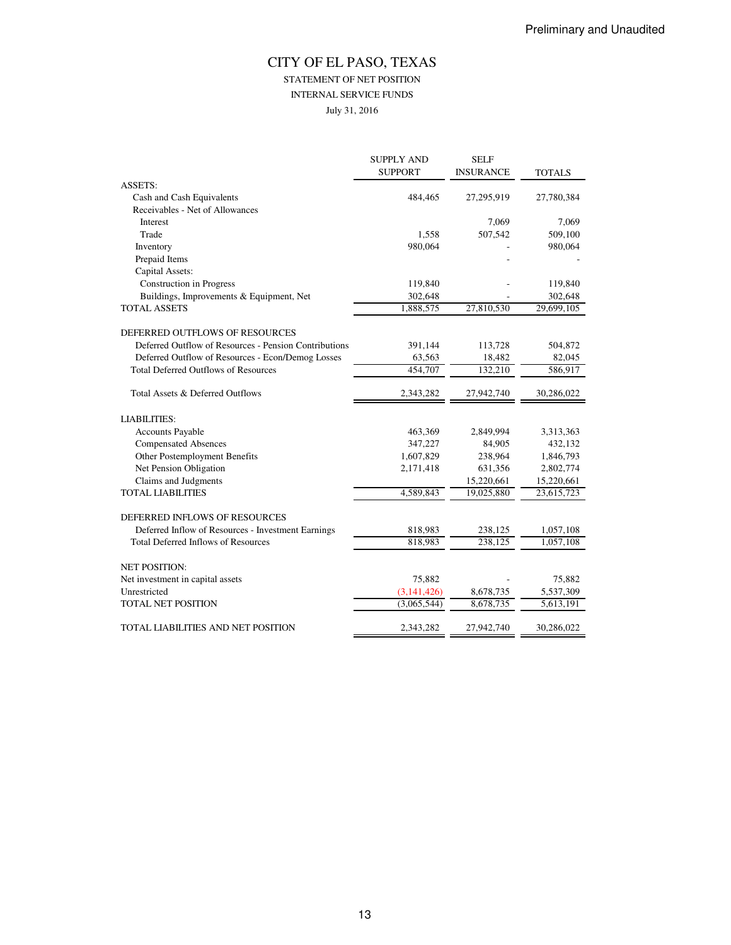## STATEMENT OF NET POSITION

INTERNAL SERVICE FUNDS

July 31, 2016

|                                                       | <b>SUPPLY AND</b> | <b>SELF</b>      |               |
|-------------------------------------------------------|-------------------|------------------|---------------|
|                                                       | <b>SUPPORT</b>    | <b>INSURANCE</b> | <b>TOTALS</b> |
| <b>ASSETS:</b>                                        |                   |                  |               |
| Cash and Cash Equivalents                             | 484,465           | 27,295,919       | 27,780,384    |
| Receivables - Net of Allowances                       |                   |                  |               |
| Interest                                              |                   | 7,069            | 7,069         |
| Trade                                                 | 1,558             | 507,542          | 509,100       |
| Inventory                                             | 980,064           |                  | 980,064       |
| Prepaid Items                                         |                   |                  |               |
| Capital Assets:                                       |                   |                  |               |
| Construction in Progress                              | 119,840           |                  | 119,840       |
| Buildings, Improvements & Equipment, Net              | 302,648           |                  | 302,648       |
| <b>TOTAL ASSETS</b>                                   | 1,888,575         | 27,810,530       | 29,699,105    |
| DEFERRED OUTFLOWS OF RESOURCES                        |                   |                  |               |
| Deferred Outflow of Resources - Pension Contributions | 391,144           | 113,728          | 504,872       |
| Deferred Outflow of Resources - Econ/Demog Losses     | 63,563            | 18,482           | 82,045        |
| <b>Total Deferred Outflows of Resources</b>           | 454,707           | 132,210          | 586,917       |
| Total Assets & Deferred Outflows                      | 2,343,282         | 27,942,740       | 30,286,022    |
| <b>LIABILITIES:</b>                                   |                   |                  |               |
| Accounts Payable                                      | 463,369           | 2,849,994        | 3,313,363     |
| <b>Compensated Absences</b>                           | 347,227           | 84,905           | 432,132       |
| Other Postemployment Benefits                         | 1,607,829         | 238,964          | 1,846,793     |
| Net Pension Obligation                                | 2,171,418         | 631,356          | 2,802,774     |
| Claims and Judgments                                  |                   | 15,220,661       | 15,220,661    |
| <b>TOTAL LIABILITIES</b>                              | 4,589,843         | 19,025,880       | 23,615,723    |
| DEFERRED INFLOWS OF RESOURCES                         |                   |                  |               |
| Deferred Inflow of Resources - Investment Earnings    | 818,983           | 238,125          | 1,057,108     |
| <b>Total Deferred Inflows of Resources</b>            | 818,983           | 238,125          | 1,057,108     |
| <b>NET POSITION:</b>                                  |                   |                  |               |
| Net investment in capital assets                      | 75,882            |                  | 75,882        |
| Unrestricted                                          | (3, 141, 426)     | 8,678,735        | 5,537,309     |
| <b>TOTAL NET POSITION</b>                             | (3,065,544)       | 8,678,735        | 5,613,191     |
| TOTAL LIABILITIES AND NET POSITION                    | 2,343,282         | 27,942,740       | 30,286,022    |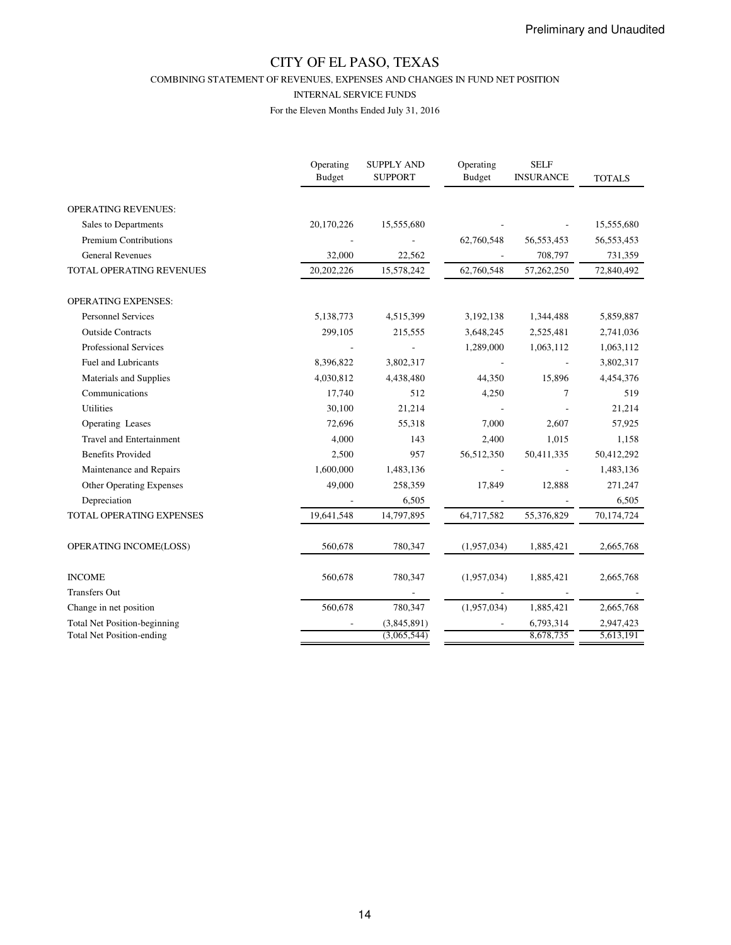COMBINING STATEMENT OF REVENUES, EXPENSES AND CHANGES IN FUND NET POSITION

#### INTERNAL SERVICE FUNDS

|                                     | Operating<br><b>Budget</b> | <b>SUPPLY AND</b><br><b>SUPPORT</b> | Operating<br><b>Budget</b> | <b>SELF</b><br><b>INSURANCE</b> | <b>TOTALS</b> |
|-------------------------------------|----------------------------|-------------------------------------|----------------------------|---------------------------------|---------------|
| <b>OPERATING REVENUES:</b>          |                            |                                     |                            |                                 |               |
| Sales to Departments                | 20,170,226                 | 15,555,680                          |                            |                                 | 15,555,680    |
| <b>Premium Contributions</b>        |                            |                                     | 62,760,548                 | 56, 553, 453                    | 56, 553, 453  |
| <b>General Revenues</b>             | 32,000                     | 22,562                              |                            | 708,797                         | 731,359       |
| TOTAL OPERATING REVENUES            | 20,202,226                 | 15,578,242                          | 62,760,548                 | 57,262,250                      | 72,840,492    |
| <b>OPERATING EXPENSES:</b>          |                            |                                     |                            |                                 |               |
| <b>Personnel Services</b>           | 5,138,773                  | 4,515,399                           | 3,192,138                  | 1,344,488                       | 5,859,887     |
| <b>Outside Contracts</b>            | 299,105                    | 215,555                             | 3,648,245                  | 2,525,481                       | 2,741,036     |
| <b>Professional Services</b>        |                            |                                     | 1,289,000                  | 1,063,112                       | 1,063,112     |
| <b>Fuel and Lubricants</b>          | 8,396,822                  | 3,802,317                           |                            |                                 | 3,802,317     |
| Materials and Supplies              | 4,030,812                  | 4,438,480                           | 44,350                     | 15,896                          | 4,454,376     |
| Communications                      | 17,740                     | 512                                 | 4,250                      | 7                               | 519           |
| <b>Utilities</b>                    | 30,100                     | 21,214                              |                            |                                 | 21,214        |
| <b>Operating Leases</b>             | 72,696                     | 55,318                              | 7,000                      | 2,607                           | 57,925        |
| <b>Travel and Entertainment</b>     | 4,000                      | 143                                 | 2,400                      | 1,015                           | 1,158         |
| <b>Benefits Provided</b>            | 2,500                      | 957                                 | 56,512,350                 | 50,411,335                      | 50,412,292    |
| Maintenance and Repairs             | 1,600,000                  | 1,483,136                           |                            |                                 | 1,483,136     |
| <b>Other Operating Expenses</b>     | 49,000                     | 258,359                             | 17,849                     | 12,888                          | 271,247       |
| Depreciation                        |                            | 6,505                               |                            |                                 | 6,505         |
| TOTAL OPERATING EXPENSES            | 19,641,548                 | 14,797,895                          | 64,717,582                 | 55,376,829                      | 70,174,724    |
| OPERATING INCOME(LOSS)              | 560,678                    | 780,347                             | (1,957,034)                | 1,885,421                       | 2,665,768     |
| <b>INCOME</b>                       | 560,678                    | 780,347                             | (1,957,034)                | 1,885,421                       | 2,665,768     |
| <b>Transfers Out</b>                |                            |                                     |                            |                                 |               |
| Change in net position              | 560,678                    | 780,347                             | (1,957,034)                | 1,885,421                       | 2,665,768     |
| <b>Total Net Position-beginning</b> |                            | (3,845,891)                         |                            | 6,793,314                       | 2,947,423     |
| <b>Total Net Position-ending</b>    |                            | (3,065,544)                         |                            | 8,678,735                       | 5,613,191     |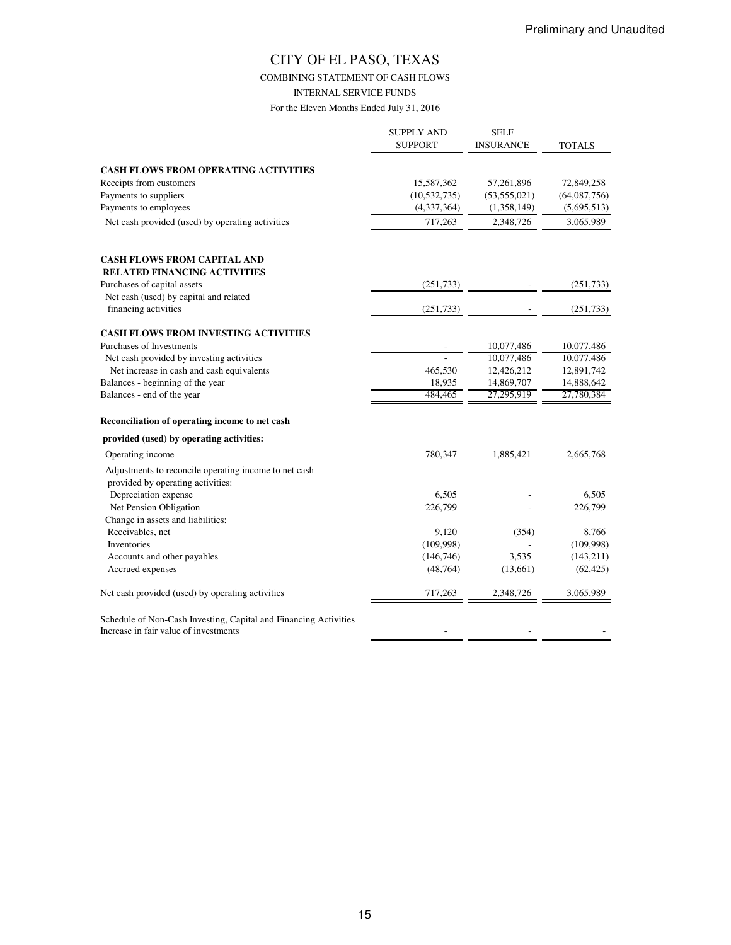COMBINING STATEMENT OF CASH FLOWS

INTERNAL SERVICE FUNDS

|                                                                                                           | <b>SUPPLY AND</b><br><b>SUPPORT</b> | <b>SELF</b><br><b>INSURANCE</b> | TOTALS       |
|-----------------------------------------------------------------------------------------------------------|-------------------------------------|---------------------------------|--------------|
| <b>CASH FLOWS FROM OPERATING ACTIVITIES</b>                                                               |                                     |                                 |              |
| Receipts from customers                                                                                   | 15,587,362                          | 57,261,896                      | 72,849,258   |
| Payments to suppliers                                                                                     | (10, 532, 735)                      | (53, 555, 021)                  | (64,087,756) |
| Payments to employees                                                                                     | (4,337,364)                         | (1,358,149)                     | (5,695,513)  |
| Net cash provided (used) by operating activities                                                          | 717,263                             | 2,348,726                       | 3,065,989    |
| <b>CASH FLOWS FROM CAPITAL AND</b><br><b>RELATED FINANCING ACTIVITIES</b>                                 |                                     |                                 |              |
| Purchases of capital assets                                                                               | (251, 733)                          |                                 | (251, 733)   |
| Net cash (used) by capital and related                                                                    |                                     |                                 |              |
| financing activities                                                                                      | (251, 733)                          |                                 | (251, 733)   |
| <b>CASH FLOWS FROM INVESTING ACTIVITIES</b>                                                               |                                     |                                 |              |
| Purchases of Investments                                                                                  |                                     | 10,077,486                      | 10,077,486   |
| Net cash provided by investing activities                                                                 |                                     | 10,077,486                      | 10,077,486   |
| Net increase in cash and cash equivalents                                                                 | 465,530                             | 12,426,212                      | 12,891,742   |
| Balances - beginning of the year                                                                          | 18,935                              | 14,869,707                      | 14,888,642   |
| Balances - end of the year                                                                                | 484,465                             | 27,295,919                      | 27,780,384   |
| Reconciliation of operating income to net cash                                                            |                                     |                                 |              |
| provided (used) by operating activities:                                                                  |                                     |                                 |              |
| Operating income                                                                                          | 780,347                             | 1,885,421                       | 2,665,768    |
| Adjustments to reconcile operating income to net cash<br>provided by operating activities:                |                                     |                                 |              |
| Depreciation expense                                                                                      | 6,505                               |                                 | 6,505        |
| Net Pension Obligation                                                                                    | 226,799                             |                                 | 226,799      |
| Change in assets and liabilities:                                                                         |                                     |                                 |              |
| Receivables, net                                                                                          | 9,120                               | (354)                           | 8,766        |
| Inventories                                                                                               | (109,998)                           |                                 | (109,998)    |
| Accounts and other payables                                                                               | (146, 746)                          | 3.535                           | (143,211)    |
| Accrued expenses                                                                                          | (48, 764)                           | (13,661)                        | (62, 425)    |
| Net cash provided (used) by operating activities                                                          | 717,263                             | 2,348,726                       | 3,065,989    |
| Schedule of Non-Cash Investing, Capital and Financing Activities<br>Increase in fair value of investments |                                     |                                 |              |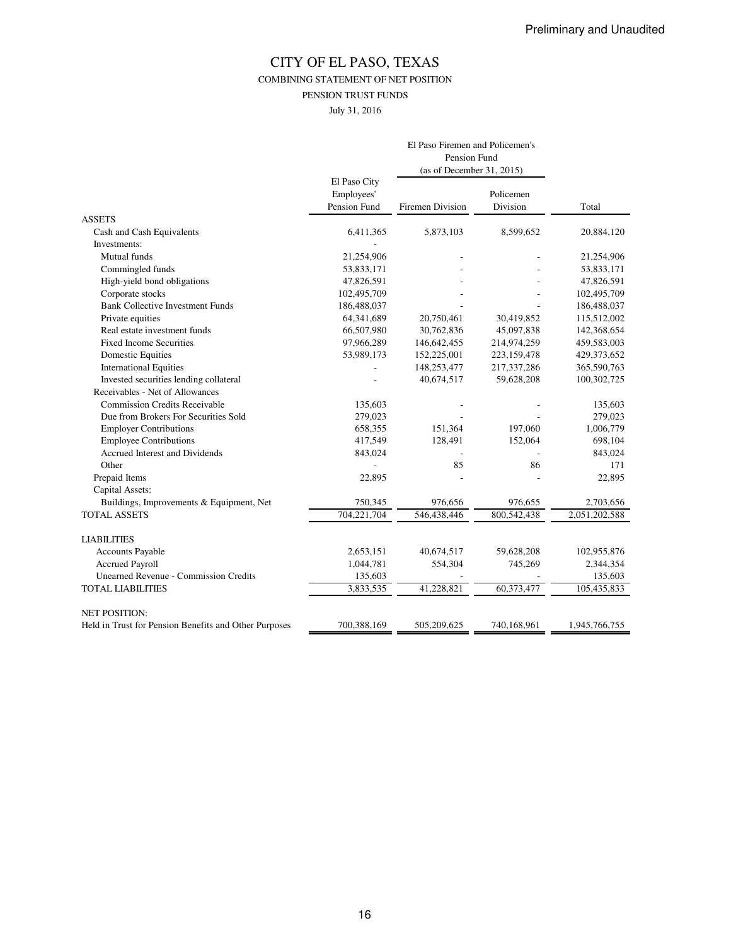COMBINING STATEMENT OF NET POSITION

PENSION TRUST FUNDS

July 31, 2016

|                                                       |                                            | El Paso Firemen and Policemen's<br>Pension Fund<br>(as of December 31, 2015) |                       |               |
|-------------------------------------------------------|--------------------------------------------|------------------------------------------------------------------------------|-----------------------|---------------|
|                                                       | El Paso City<br>Employees'<br>Pension Fund | Firemen Division                                                             | Policemen<br>Division | Total         |
| <b>ASSETS</b>                                         |                                            |                                                                              |                       |               |
| Cash and Cash Equivalents                             | 6,411,365                                  | 5,873,103                                                                    | 8,599,652             | 20,884,120    |
| Investments:                                          |                                            |                                                                              |                       |               |
| Mutual funds                                          | 21,254,906                                 |                                                                              |                       | 21,254,906    |
| Commingled funds                                      | 53,833,171                                 |                                                                              |                       | 53,833,171    |
| High-yield bond obligations                           | 47,826,591                                 |                                                                              |                       | 47,826,591    |
| Corporate stocks                                      | 102,495,709                                |                                                                              |                       | 102,495,709   |
| <b>Bank Collective Investment Funds</b>               | 186,488,037                                |                                                                              |                       | 186,488,037   |
| Private equities                                      | 64,341,689                                 | 20,750,461                                                                   | 30,419,852            | 115,512,002   |
| Real estate investment funds                          | 66,507,980                                 | 30,762,836                                                                   | 45,097,838            | 142,368,654   |
| <b>Fixed Income Securities</b>                        | 97,966,289                                 | 146,642,455                                                                  | 214,974,259           | 459,583,003   |
| <b>Domestic Equities</b>                              | 53,989,173                                 | 152,225,001                                                                  | 223,159,478           | 429,373,652   |
| <b>International Equities</b>                         |                                            | 148,253,477                                                                  | 217,337,286           | 365,590,763   |
| Invested securities lending collateral                |                                            | 40,674,517                                                                   | 59,628,208            | 100,302,725   |
| Receivables - Net of Allowances                       |                                            |                                                                              |                       |               |
| <b>Commission Credits Receivable</b>                  | 135,603                                    |                                                                              |                       | 135,603       |
| Due from Brokers For Securities Sold                  | 279,023                                    |                                                                              |                       | 279,023       |
| <b>Employer Contributions</b>                         | 658,355                                    | 151,364                                                                      | 197,060               | 1,006,779     |
| <b>Employee Contributions</b>                         | 417,549                                    | 128,491                                                                      | 152,064               | 698,104       |
| Accrued Interest and Dividends                        | 843,024                                    |                                                                              |                       | 843,024       |
| Other                                                 |                                            | 85                                                                           | 86                    | 171           |
| Prepaid Items                                         | 22,895                                     |                                                                              |                       | 22,895        |
| Capital Assets:                                       |                                            |                                                                              |                       |               |
| Buildings, Improvements & Equipment, Net              | 750,345                                    | 976,656                                                                      | 976,655               | 2,703,656     |
| <b>TOTAL ASSETS</b>                                   | 704,221,704                                | 546,438,446                                                                  | 800,542,438           | 2,051,202,588 |
| <b>LIABILITIES</b>                                    |                                            |                                                                              |                       |               |
| <b>Accounts Payable</b>                               | 2,653,151                                  | 40,674,517                                                                   | 59,628,208            | 102,955,876   |
| <b>Accrued Payroll</b>                                | 1,044,781                                  | 554,304                                                                      | 745,269               | 2,344,354     |
| <b>Unearned Revenue - Commission Credits</b>          | 135,603                                    |                                                                              |                       | 135,603       |
| <b>TOTAL LIABILITIES</b>                              | 3,833,535                                  | 41,228,821                                                                   | 60,373,477            | 105,435,833   |
| <b>NET POSITION:</b>                                  |                                            |                                                                              |                       |               |
| Held in Trust for Pension Benefits and Other Purposes | 700,388,169                                | 505,209,625                                                                  | 740.168.961           | 1,945,766,755 |